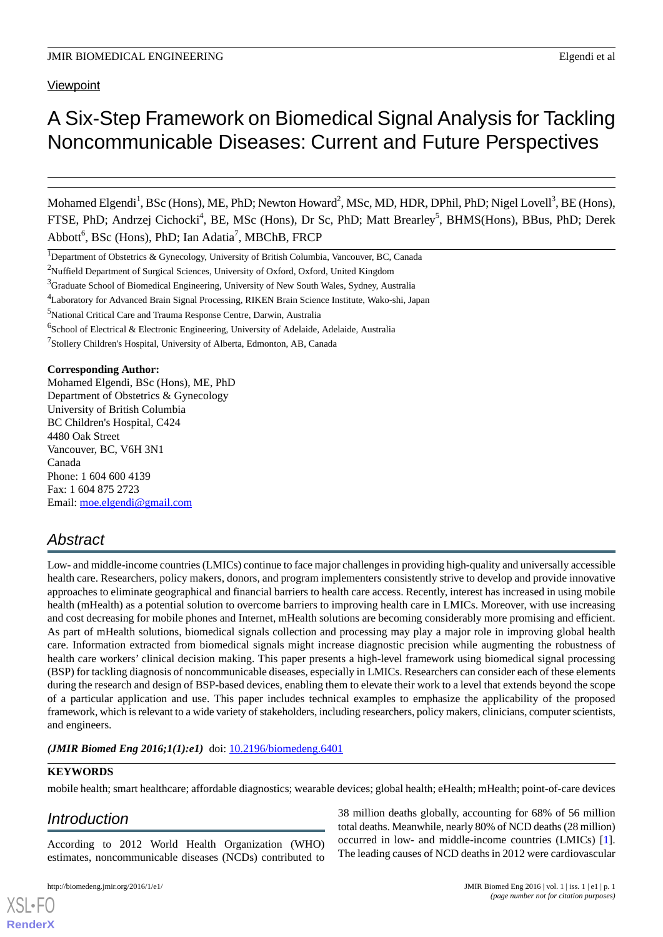**Viewpoint** 

# A Six-Step Framework on Biomedical Signal Analysis for Tackling Noncommunicable Diseases: Current and Future Perspectives

Mohamed Elgendi<sup>1</sup>, BSc (Hons), ME, PhD; Newton Howard<sup>2</sup>, MSc, MD, HDR, DPhil, PhD; Nigel Lovell<sup>3</sup>, BE (Hons), FTSE, PhD; Andrzej Cichocki<sup>4</sup>, BE, MSc (Hons), Dr Sc, PhD; Matt Brearley<sup>5</sup>, BHMS(Hons), BBus, PhD; Derek Abbott<sup>6</sup>, BSc (Hons), PhD; Ian Adatia<sup>7</sup>, MBChB, FRCP

<sup>1</sup>Department of Obstetrics & Gynecology, University of British Columbia, Vancouver, BC, Canada

<sup>2</sup>Nuffield Department of Surgical Sciences, University of Oxford, Oxford, United Kingdom

<sup>3</sup>Graduate School of Biomedical Engineering, University of New South Wales, Sydney, Australia

<sup>4</sup>Laboratory for Advanced Brain Signal Processing, RIKEN Brain Science Institute, Wako-shi, Japan

<sup>5</sup>National Critical Care and Trauma Response Centre, Darwin, Australia

<sup>7</sup>Stollery Children's Hospital, University of Alberta, Edmonton, AB, Canada

## **Corresponding Author:**

Mohamed Elgendi, BSc (Hons), ME, PhD Department of Obstetrics & Gynecology University of British Columbia BC Children's Hospital, C424 4480 Oak Street Vancouver, BC, V6H 3N1 Canada Phone: 1 604 600 4139 Fax: 1 604 875 2723 Email: [moe.elgendi@gmail.com](mailto:moe.elgendi@gmail.com)

## *Abstract*

Low- and middle-income countries (LMICs) continue to face major challenges in providing high-quality and universally accessible health care. Researchers, policy makers, donors, and program implementers consistently strive to develop and provide innovative approaches to eliminate geographical and financial barriers to health care access. Recently, interest has increased in using mobile health (mHealth) as a potential solution to overcome barriers to improving health care in LMICs. Moreover, with use increasing and cost decreasing for mobile phones and Internet, mHealth solutions are becoming considerably more promising and efficient. As part of mHealth solutions, biomedical signals collection and processing may play a major role in improving global health care. Information extracted from biomedical signals might increase diagnostic precision while augmenting the robustness of health care workers' clinical decision making. This paper presents a high-level framework using biomedical signal processing (BSP) for tackling diagnosis of noncommunicable diseases, especially in LMICs. Researchers can consider each of these elements during the research and design of BSP-based devices, enabling them to elevate their work to a level that extends beyond the scope of a particular application and use. This paper includes technical examples to emphasize the applicability of the proposed framework, which is relevant to a wide variety of stakeholders, including researchers, policy makers, clinicians, computer scientists, and engineers.

(JMIR Biomed Eng 2016;1(1):e1) doi: [10.2196/biomedeng.6401](http://dx.doi.org/10.2196/biomedeng.6401)

## **KEYWORDS**

mobile health; smart healthcare; affordable diagnostics; wearable devices; global health; eHealth; mHealth; point-of-care devices

## *Introduction*

According to 2012 World Health Organization (WHO) estimates, noncommunicable diseases (NCDs) contributed to

<sup>&</sup>lt;sup>6</sup>School of Electrical & Electronic Engineering, University of Adelaide, Adelaide, Australia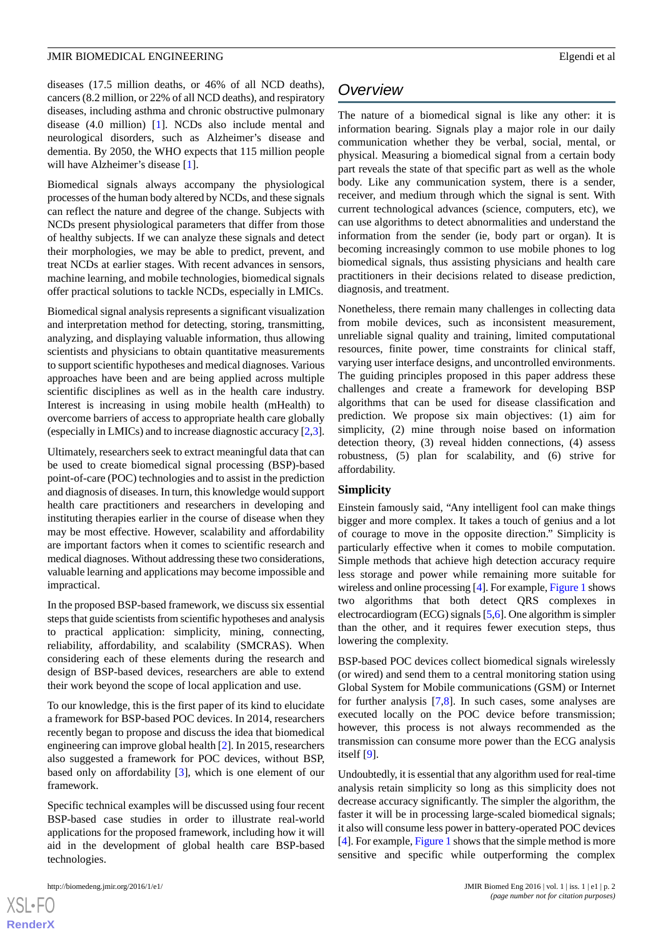diseases (17.5 million deaths, or 46% of all NCD deaths), cancers (8.2 million, or 22% of all NCD deaths), and respiratory diseases, including asthma and chronic obstructive pulmonary disease (4.0 million) [[1\]](#page-10-0). NCDs also include mental and neurological disorders, such as Alzheimer's disease and dementia. By 2050, the WHO expects that 115 million people will have Alzheimer's disease [[1\]](#page-10-0).

Biomedical signals always accompany the physiological processes of the human body altered by NCDs, and these signals can reflect the nature and degree of the change. Subjects with NCDs present physiological parameters that differ from those of healthy subjects. If we can analyze these signals and detect their morphologies, we may be able to predict, prevent, and treat NCDs at earlier stages. With recent advances in sensors, machine learning, and mobile technologies, biomedical signals offer practical solutions to tackle NCDs, especially in LMICs.

Biomedical signal analysis represents a significant visualization and interpretation method for detecting, storing, transmitting, analyzing, and displaying valuable information, thus allowing scientists and physicians to obtain quantitative measurements to support scientific hypotheses and medical diagnoses. Various approaches have been and are being applied across multiple scientific disciplines as well as in the health care industry. Interest is increasing in using mobile health (mHealth) to overcome barriers of access to appropriate health care globally (especially in LMICs) and to increase diagnostic accuracy [[2](#page-10-1)[,3\]](#page-10-2).

Ultimately, researchers seek to extract meaningful data that can be used to create biomedical signal processing (BSP)-based point-of-care (POC) technologies and to assist in the prediction and diagnosis of diseases. In turn, this knowledge would support health care practitioners and researchers in developing and instituting therapies earlier in the course of disease when they may be most effective. However, scalability and affordability are important factors when it comes to scientific research and medical diagnoses. Without addressing these two considerations, valuable learning and applications may become impossible and impractical.

In the proposed BSP-based framework, we discuss six essential steps that guide scientists from scientific hypotheses and analysis to practical application: simplicity, mining, connecting, reliability, affordability, and scalability (SMCRAS). When considering each of these elements during the research and design of BSP-based devices, researchers are able to extend their work beyond the scope of local application and use.

To our knowledge, this is the first paper of its kind to elucidate a framework for BSP-based POC devices. In 2014, researchers recently began to propose and discuss the idea that biomedical engineering can improve global health [\[2](#page-10-1)]. In 2015, researchers also suggested a framework for POC devices, without BSP, based only on affordability [\[3\]](#page-10-2), which is one element of our framework.

Specific technical examples will be discussed using four recent BSP-based case studies in order to illustrate real-world applications for the proposed framework, including how it will aid in the development of global health care BSP-based technologies.

 $XS$ -FO **[RenderX](http://www.renderx.com/)**

## *Overview*

The nature of a biomedical signal is like any other: it is information bearing. Signals play a major role in our daily communication whether they be verbal, social, mental, or physical. Measuring a biomedical signal from a certain body part reveals the state of that specific part as well as the whole body. Like any communication system, there is a sender, receiver, and medium through which the signal is sent. With current technological advances (science, computers, etc), we can use algorithms to detect abnormalities and understand the information from the sender (ie, body part or organ). It is becoming increasingly common to use mobile phones to log biomedical signals, thus assisting physicians and health care practitioners in their decisions related to disease prediction, diagnosis, and treatment.

Nonetheless, there remain many challenges in collecting data from mobile devices, such as inconsistent measurement, unreliable signal quality and training, limited computational resources, finite power, time constraints for clinical staff, varying user interface designs, and uncontrolled environments. The guiding principles proposed in this paper address these challenges and create a framework for developing BSP algorithms that can be used for disease classification and prediction. We propose six main objectives: (1) aim for simplicity, (2) mine through noise based on information detection theory, (3) reveal hidden connections, (4) assess robustness, (5) plan for scalability, and (6) strive for affordability.

### **Simplicity**

Einstein famously said, "Any intelligent fool can make things bigger and more complex. It takes a touch of genius and a lot of courage to move in the opposite direction." Simplicity is particularly effective when it comes to mobile computation. Simple methods that achieve high detection accuracy require less storage and power while remaining more suitable for wireless and online processing [\[4\]](#page-10-3). For example, [Figure 1](#page-2-0) shows two algorithms that both detect QRS complexes in electrocardiogram (ECG) signals [\[5](#page-10-4)[,6](#page-10-5)]. One algorithm is simpler than the other, and it requires fewer execution steps, thus lowering the complexity.

BSP-based POC devices collect biomedical signals wirelessly (or wired) and send them to a central monitoring station using Global System for Mobile communications (GSM) or Internet for further analysis  $[7,8]$  $[7,8]$ . In such cases, some analyses are executed locally on the POC device before transmission; however, this process is not always recommended as the transmission can consume more power than the ECG analysis itself [[9](#page-10-8)].

Undoubtedly, it is essential that any algorithm used for real-time analysis retain simplicity so long as this simplicity does not decrease accuracy significantly. The simpler the algorithm, the faster it will be in processing large-scaled biomedical signals; it also will consume less power in battery-operated POC devices [[4\]](#page-10-3). For example, [Figure 1](#page-2-0) shows that the simple method is more sensitive and specific while outperforming the complex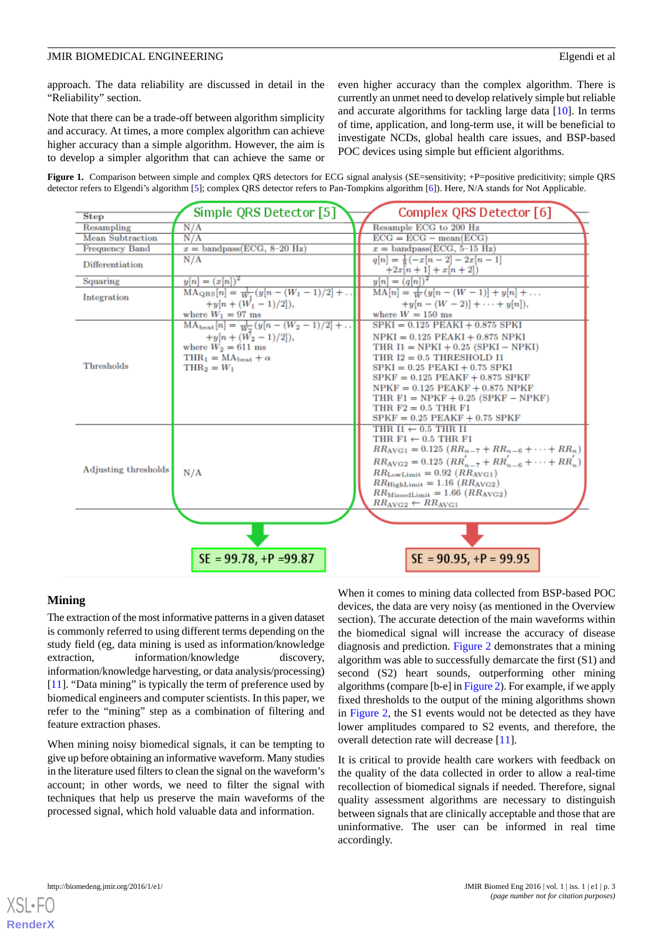approach. The data reliability are discussed in detail in the "Reliability" section.

Note that there can be a trade-off between algorithm simplicity and accuracy. At times, a more complex algorithm can achieve higher accuracy than a simple algorithm. However, the aim is to develop a simpler algorithm that can achieve the same or even higher accuracy than the complex algorithm. There is currently an unmet need to develop relatively simple but reliable and accurate algorithms for tackling large data [\[10](#page-10-9)]. In terms of time, application, and long-term use, it will be beneficial to investigate NCDs, global health care issues, and BSP-based POC devices using simple but efficient algorithms.

<span id="page-2-0"></span>Figure 1. Comparison between simple and complex QRS detectors for ECG signal analysis (SE=sensitivity; +P=positive predicitivity; simple QRS detector refers to Elgendi's algorithm [\[5\]](#page-10-4); complex QRS detector refers to Pan-Tompkins algorithm [\[6](#page-10-5)]). Here, N/A stands for Not Applicable.



## **Mining**

The extraction of the most informative patterns in a given dataset is commonly referred to using different terms depending on the study field (eg, data mining is used as information/knowledge extraction, information/knowledge discovery, information/knowledge harvesting, or data analysis/processing) [[11\]](#page-10-10). "Data mining" is typically the term of preference used by biomedical engineers and computer scientists. In this paper, we refer to the "mining" step as a combination of filtering and feature extraction phases.

When mining noisy biomedical signals, it can be tempting to give up before obtaining an informative waveform. Many studies in the literature used filters to clean the signal on the waveform's account; in other words, we need to filter the signal with techniques that help us preserve the main waveforms of the processed signal, which hold valuable data and information.

When it comes to mining data collected from BSP-based POC devices, the data are very noisy (as mentioned in the Overview section). The accurate detection of the main waveforms within the biomedical signal will increase the accuracy of disease diagnosis and prediction. [Figure 2](#page-3-0) demonstrates that a mining algorithm was able to successfully demarcate the first (S1) and second (S2) heart sounds, outperforming other mining algorithms (compare [b-e] in [Figure 2](#page-3-0)). For example, if we apply fixed thresholds to the output of the mining algorithms shown in [Figure 2](#page-3-0), the S1 events would not be detected as they have lower amplitudes compared to S2 events, and therefore, the overall detection rate will decrease [[11\]](#page-10-10).

It is critical to provide health care workers with feedback on the quality of the data collected in order to allow a real-time recollection of biomedical signals if needed. Therefore, signal quality assessment algorithms are necessary to distinguish between signals that are clinically acceptable and those that are uninformative. The user can be informed in real time accordingly.

**[RenderX](http://www.renderx.com/)**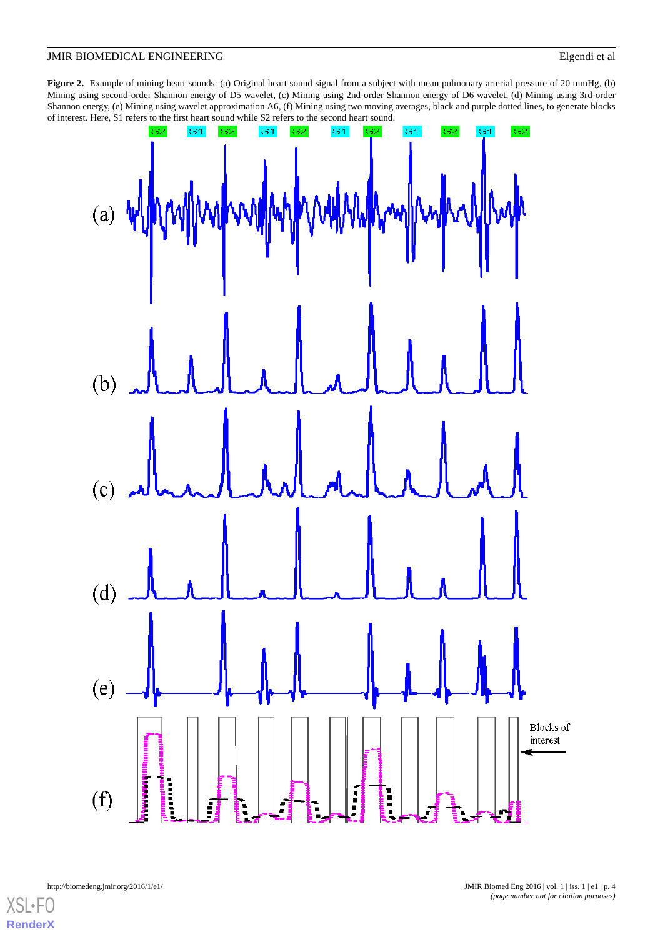<span id="page-3-0"></span>Figure 2. Example of mining heart sounds: (a) Original heart sound signal from a subject with mean pulmonary arterial pressure of 20 mmHg, (b) Mining using second-order Shannon energy of D5 wavelet, (c) Mining using 2nd-order Shannon energy of D6 wavelet, (d) Mining using 3rd-order Shannon energy, (e) Mining using wavelet approximation A6, (f) Mining using two moving averages, black and purple dotted lines, to generate blocks of interest. Here, S1 refers to the first heart sound while S2 refers to the second heart sound.

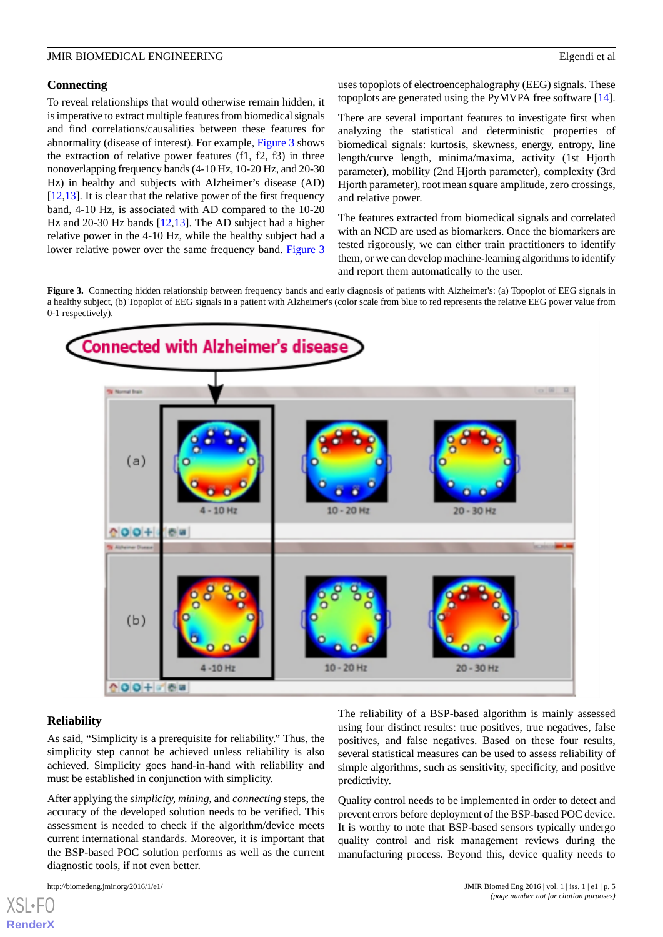## **Connecting**

To reveal relationships that would otherwise remain hidden, it is imperative to extract multiple features from biomedical signals and find correlations/causalities between these features for abnormality (disease of interest). For example, [Figure 3](#page-4-0) shows the extraction of relative power features (f1, f2, f3) in three nonoverlapping frequency bands (4-10 Hz, 10-20 Hz, and 20-30 Hz) in healthy and subjects with Alzheimer's disease (AD) [[12](#page-10-11)[,13](#page-11-0)]. It is clear that the relative power of the first frequency band, 4-10 Hz, is associated with AD compared to the 10-20 Hz and 20-30 Hz bands [\[12](#page-10-11)[,13](#page-11-0)]. The AD subject had a higher relative power in the 4-10 Hz, while the healthy subject had a lower relative power over the same frequency band. [Figure 3](#page-4-0) uses topoplots of electroencephalography (EEG) signals. These topoplots are generated using the PyMVPA free software [[14\]](#page-11-1).

There are several important features to investigate first when analyzing the statistical and deterministic properties of biomedical signals: kurtosis, skewness, energy, entropy, line length/curve length, minima/maxima, activity (1st Hjorth parameter), mobility (2nd Hjorth parameter), complexity (3rd Hjorth parameter), root mean square amplitude, zero crossings, and relative power.

The features extracted from biomedical signals and correlated with an NCD are used as biomarkers. Once the biomarkers are tested rigorously, we can either train practitioners to identify them, or we can develop machine-learning algorithms to identify and report them automatically to the user.

<span id="page-4-0"></span>**Figure 3.** Connecting hidden relationship between frequency bands and early diagnosis of patients with Alzheimer's: (a) Topoplot of EEG signals in a healthy subject, (b) Topoplot of EEG signals in a patient with Alzheimer's (color scale from blue to red represents the relative EEG power value from 0-1 respectively).



## **Reliability**

[XSL](http://www.w3.org/Style/XSL)•FO **[RenderX](http://www.renderx.com/)**

As said, "Simplicity is a prerequisite for reliability." Thus, the simplicity step cannot be achieved unless reliability is also achieved. Simplicity goes hand-in-hand with reliability and must be established in conjunction with simplicity.

After applying the *simplicity, mining,* and *connecting* steps, the accuracy of the developed solution needs to be verified. This assessment is needed to check if the algorithm/device meets current international standards. Moreover, it is important that the BSP-based POC solution performs as well as the current diagnostic tools, if not even better.

The reliability of a BSP-based algorithm is mainly assessed using four distinct results: true positives, true negatives, false positives, and false negatives. Based on these four results, several statistical measures can be used to assess reliability of simple algorithms, such as sensitivity, specificity, and positive predictivity.

Quality control needs to be implemented in order to detect and prevent errors before deployment of the BSP-based POC device. It is worthy to note that BSP-based sensors typically undergo quality control and risk management reviews during the manufacturing process. Beyond this, device quality needs to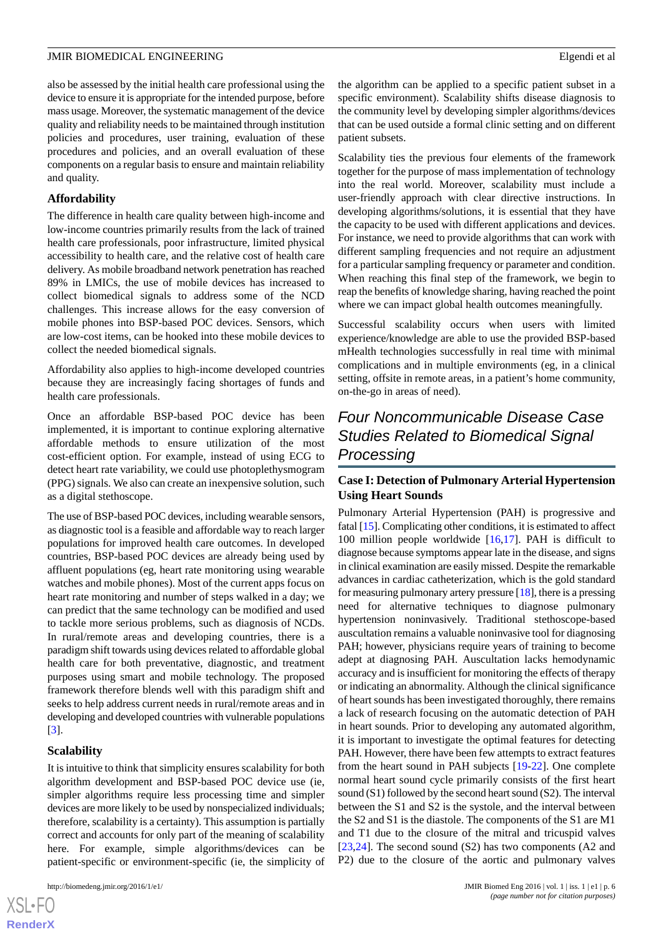also be assessed by the initial health care professional using the device to ensure it is appropriate for the intended purpose, before mass usage. Moreover, the systematic management of the device quality and reliability needs to be maintained through institution policies and procedures, user training, evaluation of these procedures and policies, and an overall evaluation of these components on a regular basis to ensure and maintain reliability and quality.

#### **Affordability**

The difference in health care quality between high-income and low-income countries primarily results from the lack of trained health care professionals, poor infrastructure, limited physical accessibility to health care, and the relative cost of health care delivery. As mobile broadband network penetration has reached 89% in LMICs, the use of mobile devices has increased to collect biomedical signals to address some of the NCD challenges. This increase allows for the easy conversion of mobile phones into BSP-based POC devices. Sensors, which are low-cost items, can be hooked into these mobile devices to collect the needed biomedical signals.

Affordability also applies to high-income developed countries because they are increasingly facing shortages of funds and health care professionals.

Once an affordable BSP-based POC device has been implemented, it is important to continue exploring alternative affordable methods to ensure utilization of the most cost-efficient option. For example, instead of using ECG to detect heart rate variability, we could use photoplethysmogram (PPG) signals. We also can create an inexpensive solution, such as a digital stethoscope.

The use of BSP-based POC devices, including wearable sensors, as diagnostic tool is a feasible and affordable way to reach larger populations for improved health care outcomes. In developed countries, BSP-based POC devices are already being used by affluent populations (eg, heart rate monitoring using wearable watches and mobile phones). Most of the current apps focus on heart rate monitoring and number of steps walked in a day; we can predict that the same technology can be modified and used to tackle more serious problems, such as diagnosis of NCDs. In rural/remote areas and developing countries, there is a paradigm shift towards using devices related to affordable global health care for both preventative, diagnostic, and treatment purposes using smart and mobile technology. The proposed framework therefore blends well with this paradigm shift and seeks to help address current needs in rural/remote areas and in developing and developed countries with vulnerable populations [[3\]](#page-10-2).

#### **Scalability**

It is intuitive to think that simplicity ensures scalability for both algorithm development and BSP-based POC device use (ie, simpler algorithms require less processing time and simpler devices are more likely to be used by nonspecialized individuals; therefore, scalability is a certainty). This assumption is partially correct and accounts for only part of the meaning of scalability here. For example, simple algorithms/devices can be patient-specific or environment-specific (ie, the simplicity of

the algorithm can be applied to a specific patient subset in a specific environment). Scalability shifts disease diagnosis to the community level by developing simpler algorithms/devices that can be used outside a formal clinic setting and on different patient subsets.

Scalability ties the previous four elements of the framework together for the purpose of mass implementation of technology into the real world. Moreover, scalability must include a user-friendly approach with clear directive instructions. In developing algorithms/solutions, it is essential that they have the capacity to be used with different applications and devices. For instance, we need to provide algorithms that can work with different sampling frequencies and not require an adjustment for a particular sampling frequency or parameter and condition. When reaching this final step of the framework, we begin to reap the benefits of knowledge sharing, having reached the point where we can impact global health outcomes meaningfully.

Successful scalability occurs when users with limited experience/knowledge are able to use the provided BSP-based mHealth technologies successfully in real time with minimal complications and in multiple environments (eg, in a clinical setting, offsite in remote areas, in a patient's home community, on-the-go in areas of need).

## *Four Noncommunicable Disease Case Studies Related to Biomedical Signal Processing*

## **Case I: Detection of Pulmonary Arterial Hypertension Using Heart Sounds**

Pulmonary Arterial Hypertension (PAH) is progressive and fatal [\[15\]](#page-11-2). Complicating other conditions, it is estimated to affect 100 million people worldwide [[16,](#page-11-3)[17](#page-11-4)]. PAH is difficult to diagnose because symptoms appear late in the disease, and signs in clinical examination are easily missed. Despite the remarkable advances in cardiac catheterization, which is the gold standard for measuring pulmonary artery pressure [[18](#page-11-5)], there is a pressing need for alternative techniques to diagnose pulmonary hypertension noninvasively. Traditional stethoscope-based auscultation remains a valuable noninvasive tool for diagnosing PAH; however, physicians require years of training to become adept at diagnosing PAH. Auscultation lacks hemodynamic accuracy and is insufficient for monitoring the effects of therapy or indicating an abnormality. Although the clinical significance of heart sounds has been investigated thoroughly, there remains a lack of research focusing on the automatic detection of PAH in heart sounds. Prior to developing any automated algorithm, it is important to investigate the optimal features for detecting PAH. However, there have been few attempts to extract features from the heart sound in PAH subjects [[19](#page-11-6)[-22](#page-11-7)]. One complete normal heart sound cycle primarily consists of the first heart sound (S1) followed by the second heart sound (S2). The interval between the S1 and S2 is the systole, and the interval between the S2 and S1 is the diastole. The components of the S1 are M1 and T1 due to the closure of the mitral and tricuspid valves [[23,](#page-11-8)[24\]](#page-11-9). The second sound (S2) has two components (A2 and P2) due to the closure of the aortic and pulmonary valves

 $XS$ -FO **[RenderX](http://www.renderx.com/)**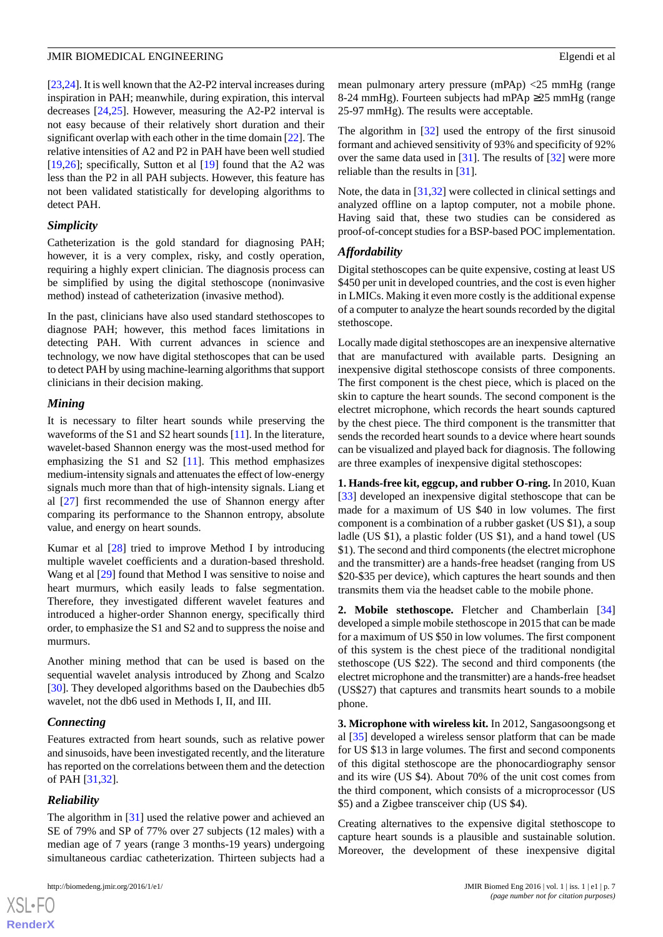[[23,](#page-11-8)[24\]](#page-11-9). It is well known that the A2-P2 interval increases during inspiration in PAH; meanwhile, during expiration, this interval decreases [[24,](#page-11-9)[25](#page-11-10)]. However, measuring the A2-P2 interval is not easy because of their relatively short duration and their significant overlap with each other in the time domain [\[22](#page-11-7)]. The relative intensities of A2 and P2 in PAH have been well studied [[19](#page-11-6)[,26](#page-11-11)]; specifically, Sutton et al [\[19](#page-11-6)] found that the A2 was less than the P2 in all PAH subjects. However, this feature has not been validated statistically for developing algorithms to detect PAH.

#### *Simplicity*

Catheterization is the gold standard for diagnosing PAH; however, it is a very complex, risky, and costly operation, requiring a highly expert clinician. The diagnosis process can be simplified by using the digital stethoscope (noninvasive method) instead of catheterization (invasive method).

In the past, clinicians have also used standard stethoscopes to diagnose PAH; however, this method faces limitations in detecting PAH. With current advances in science and technology, we now have digital stethoscopes that can be used to detect PAH by using machine-learning algorithms that support clinicians in their decision making.

#### *Mining*

It is necessary to filter heart sounds while preserving the waveforms of the S1 and S2 heart sounds [\[11](#page-10-10)]. In the literature, wavelet-based Shannon energy was the most-used method for emphasizing the S1 and S2 [[11\]](#page-10-10). This method emphasizes medium-intensity signals and attenuates the effect of low-energy signals much more than that of high-intensity signals. Liang et al [\[27](#page-11-12)] first recommended the use of Shannon energy after comparing its performance to the Shannon entropy, absolute value, and energy on heart sounds.

Kumar et al [\[28](#page-11-13)] tried to improve Method I by introducing multiple wavelet coefficients and a duration-based threshold. Wang et al  $[29]$  $[29]$  found that Method I was sensitive to noise and heart murmurs, which easily leads to false segmentation. Therefore, they investigated different wavelet features and introduced a higher-order Shannon energy, specifically third order, to emphasize the S1 and S2 and to suppress the noise and murmurs.

Another mining method that can be used is based on the sequential wavelet analysis introduced by Zhong and Scalzo [[30\]](#page-11-15). They developed algorithms based on the Daubechies db5 wavelet, not the db6 used in Methods I, II, and III.

## *Connecting*

Features extracted from heart sounds, such as relative power and sinusoids, have been investigated recently, and the literature has reported on the correlations between them and the detection of PAH [\[31](#page-11-16),[32\]](#page-11-17).

#### *Reliability*

 $XS$  • FC **[RenderX](http://www.renderx.com/)**

The algorithm in [[31\]](#page-11-16) used the relative power and achieved an SE of 79% and SP of 77% over 27 subjects (12 males) with a median age of 7 years (range 3 months-19 years) undergoing simultaneous cardiac catheterization. Thirteen subjects had a

mean pulmonary artery pressure (mPAp) <25 mmHg (range 8-24 mmHg). Fourteen subjects had mPAp ≥25 mmHg (range 25-97 mmHg). The results were acceptable.

The algorithm in [\[32](#page-11-17)] used the entropy of the first sinusoid formant and achieved sensitivity of 93% and specificity of 92% over the same data used in [\[31](#page-11-16)]. The results of [\[32](#page-11-17)] were more reliable than the results in [[31\]](#page-11-16).

Note, the data in [\[31](#page-11-16),[32\]](#page-11-17) were collected in clinical settings and analyzed offline on a laptop computer, not a mobile phone. Having said that, these two studies can be considered as proof-of-concept studies for a BSP-based POC implementation.

#### *Affordability*

Digital stethoscopes can be quite expensive, costing at least US \$450 per unit in developed countries, and the cost is even higher in LMICs. Making it even more costly is the additional expense of a computer to analyze the heart sounds recorded by the digital stethoscope.

Locally made digital stethoscopes are an inexpensive alternative that are manufactured with available parts. Designing an inexpensive digital stethoscope consists of three components. The first component is the chest piece, which is placed on the skin to capture the heart sounds. The second component is the electret microphone, which records the heart sounds captured by the chest piece. The third component is the transmitter that sends the recorded heart sounds to a device where heart sounds can be visualized and played back for diagnosis. The following are three examples of inexpensive digital stethoscopes:

**1. Hands-free kit, eggcup, and rubber O-ring.** In 2010, Kuan [[33\]](#page-11-18) developed an inexpensive digital stethoscope that can be made for a maximum of US \$40 in low volumes. The first component is a combination of a rubber gasket (US \$1), a soup ladle (US \$1), a plastic folder (US \$1), and a hand towel (US \$1). The second and third components (the electret microphone and the transmitter) are a hands-free headset (ranging from US \$20-\$35 per device), which captures the heart sounds and then transmits them via the headset cable to the mobile phone.

**2. Mobile stethoscope.** Fletcher and Chamberlain [\[34](#page-11-19)] developed a simple mobile stethoscope in 2015 that can be made for a maximum of US \$50 in low volumes. The first component of this system is the chest piece of the traditional nondigital stethoscope (US \$22). The second and third components (the electret microphone and the transmitter) are a hands-free headset (US\$27) that captures and transmits heart sounds to a mobile phone.

**3. Microphone with wireless kit.** In 2012, Sangasoongsong et al [[35\]](#page-11-20) developed a wireless sensor platform that can be made for US \$13 in large volumes. The first and second components of this digital stethoscope are the phonocardiography sensor and its wire (US \$4). About 70% of the unit cost comes from the third component, which consists of a microprocessor (US \$5) and a Zigbee transceiver chip (US \$4).

Creating alternatives to the expensive digital stethoscope to capture heart sounds is a plausible and sustainable solution. Moreover, the development of these inexpensive digital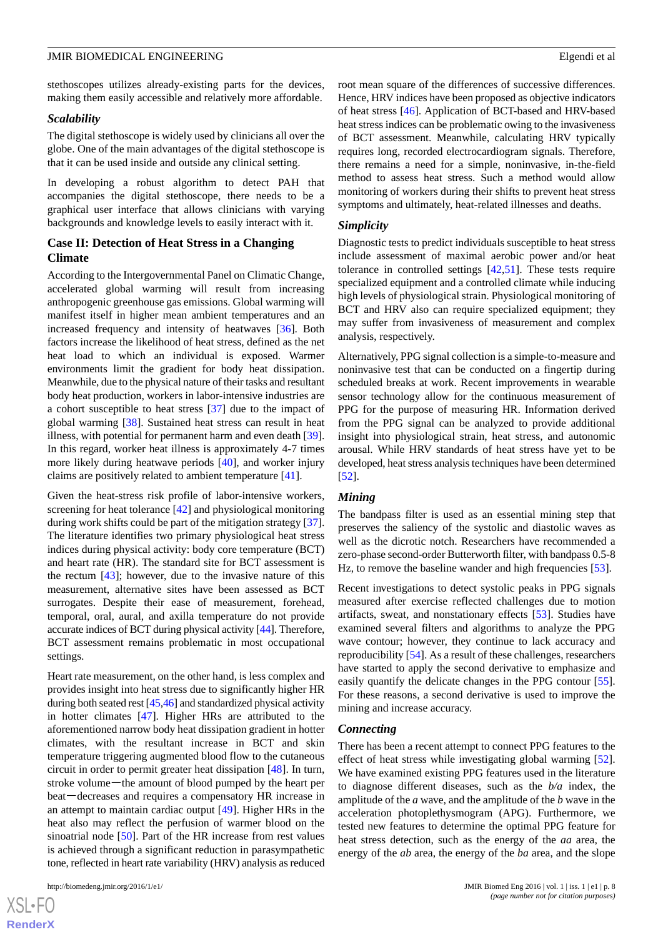stethoscopes utilizes already-existing parts for the devices, making them easily accessible and relatively more affordable.

## *Scalability*

The digital stethoscope is widely used by clinicians all over the globe. One of the main advantages of the digital stethoscope is that it can be used inside and outside any clinical setting.

In developing a robust algorithm to detect PAH that accompanies the digital stethoscope, there needs to be a graphical user interface that allows clinicians with varying backgrounds and knowledge levels to easily interact with it.

## **Case II: Detection of Heat Stress in a Changing Climate**

According to the Intergovernmental Panel on Climatic Change, accelerated global warming will result from increasing anthropogenic greenhouse gas emissions. Global warming will manifest itself in higher mean ambient temperatures and an increased frequency and intensity of heatwaves [\[36](#page-11-21)]. Both factors increase the likelihood of heat stress, defined as the net heat load to which an individual is exposed. Warmer environments limit the gradient for body heat dissipation. Meanwhile, due to the physical nature of their tasks and resultant body heat production, workers in labor-intensive industries are a cohort susceptible to heat stress [[37\]](#page-12-0) due to the impact of global warming [\[38](#page-12-1)]. Sustained heat stress can result in heat illness, with potential for permanent harm and even death [[39\]](#page-12-2). In this regard, worker heat illness is approximately 4-7 times more likely during heatwave periods [\[40](#page-12-3)], and worker injury claims are positively related to ambient temperature [[41\]](#page-12-4).

Given the heat-stress risk profile of labor-intensive workers, screening for heat tolerance [\[42](#page-12-5)] and physiological monitoring during work shifts could be part of the mitigation strategy [[37\]](#page-12-0). The literature identifies two primary physiological heat stress indices during physical activity: body core temperature (BCT) and heart rate (HR). The standard site for BCT assessment is the rectum [[43\]](#page-12-6); however, due to the invasive nature of this measurement, alternative sites have been assessed as BCT surrogates. Despite their ease of measurement, forehead, temporal, oral, aural, and axilla temperature do not provide accurate indices of BCT during physical activity [\[44](#page-12-7)]. Therefore, BCT assessment remains problematic in most occupational settings.

Heart rate measurement, on the other hand, is less complex and provides insight into heat stress due to significantly higher HR during both seated rest [\[45](#page-12-8)[,46](#page-12-9)] and standardized physical activity in hotter climates [[47\]](#page-12-10). Higher HRs are attributed to the aforementioned narrow body heat dissipation gradient in hotter climates, with the resultant increase in BCT and skin temperature triggering augmented blood flow to the cutaneous circuit in order to permit greater heat dissipation [[48\]](#page-12-11). In turn, stroke volume―the amount of blood pumped by the heart per beat―decreases and requires a compensatory HR increase in an attempt to maintain cardiac output [\[49](#page-12-12)]. Higher HRs in the heat also may reflect the perfusion of warmer blood on the sinoatrial node [[50\]](#page-12-13). Part of the HR increase from rest values is achieved through a significant reduction in parasympathetic tone, reflected in heart rate variability (HRV) analysis as reduced

root mean square of the differences of successive differences. Hence, HRV indices have been proposed as objective indicators of heat stress [[46\]](#page-12-9). Application of BCT-based and HRV-based heat stress indices can be problematic owing to the invasiveness of BCT assessment. Meanwhile, calculating HRV typically requires long, recorded electrocardiogram signals. Therefore, there remains a need for a simple, noninvasive, in-the-field method to assess heat stress. Such a method would allow monitoring of workers during their shifts to prevent heat stress symptoms and ultimately, heat-related illnesses and deaths.

#### *Simplicity*

Diagnostic tests to predict individuals susceptible to heat stress include assessment of maximal aerobic power and/or heat tolerance in controlled settings [[42](#page-12-5)[,51](#page-12-14)]. These tests require specialized equipment and a controlled climate while inducing high levels of physiological strain. Physiological monitoring of BCT and HRV also can require specialized equipment; they may suffer from invasiveness of measurement and complex analysis, respectively.

Alternatively, PPG signal collection is a simple-to-measure and noninvasive test that can be conducted on a fingertip during scheduled breaks at work. Recent improvements in wearable sensor technology allow for the continuous measurement of PPG for the purpose of measuring HR. Information derived from the PPG signal can be analyzed to provide additional insight into physiological strain, heat stress, and autonomic arousal. While HRV standards of heat stress have yet to be developed, heat stress analysis techniques have been determined [[52\]](#page-12-15).

#### *Mining*

The bandpass filter is used as an essential mining step that preserves the saliency of the systolic and diastolic waves as well as the dicrotic notch. Researchers have recommended a zero-phase second-order Butterworth filter, with bandpass 0.5-8 Hz, to remove the baseline wander and high frequencies [[53\]](#page-12-16).

Recent investigations to detect systolic peaks in PPG signals measured after exercise reflected challenges due to motion artifacts, sweat, and nonstationary effects [\[53](#page-12-16)]. Studies have examined several filters and algorithms to analyze the PPG wave contour; however, they continue to lack accuracy and reproducibility [[54\]](#page-12-17). As a result of these challenges, researchers have started to apply the second derivative to emphasize and easily quantify the delicate changes in the PPG contour [[55\]](#page-12-18). For these reasons, a second derivative is used to improve the mining and increase accuracy.

#### *Connecting*

There has been a recent attempt to connect PPG features to the effect of heat stress while investigating global warming [[52\]](#page-12-15). We have examined existing PPG features used in the literature to diagnose different diseases, such as the *b/a* index, the amplitude of the *a* wave, and the amplitude of the *b* wave in the acceleration photoplethysmogram (APG). Furthermore, we tested new features to determine the optimal PPG feature for heat stress detection, such as the energy of the *aa* area, the energy of the *ab* area, the energy of the *ba* area, and the slope

 $XS$ -FO **[RenderX](http://www.renderx.com/)**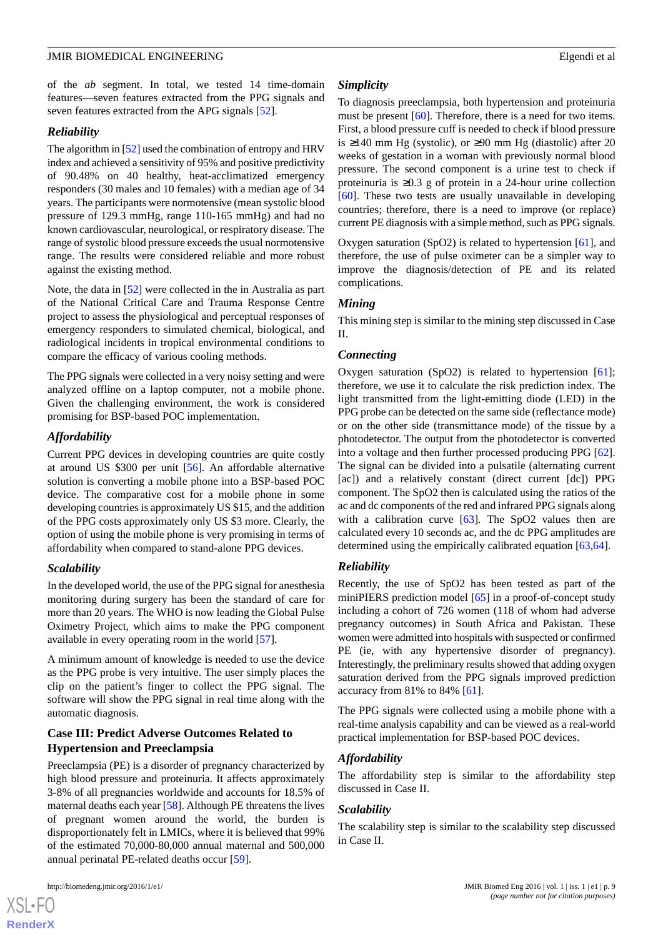of the *ab* segment. In total, we tested 14 time-domain features—seven features extracted from the PPG signals and seven features extracted from the APG signals [\[52](#page-12-15)].

#### *Reliability*

The algorithm in [[52\]](#page-12-15) used the combination of entropy and HRV index and achieved a sensitivity of 95% and positive predictivity of 90.48% on 40 healthy, heat-acclimatized emergency responders (30 males and 10 females) with a median age of 34 years. The participants were normotensive (mean systolic blood pressure of 129.3 mmHg, range 110-165 mmHg) and had no known cardiovascular, neurological, or respiratory disease. The range of systolic blood pressure exceeds the usual normotensive range. The results were considered reliable and more robust against the existing method.

Note, the data in [\[52](#page-12-15)] were collected in the in Australia as part of the National Critical Care and Trauma Response Centre project to assess the physiological and perceptual responses of emergency responders to simulated chemical, biological, and radiological incidents in tropical environmental conditions to compare the efficacy of various cooling methods.

The PPG signals were collected in a very noisy setting and were analyzed offline on a laptop computer, not a mobile phone. Given the challenging environment, the work is considered promising for BSP-based POC implementation.

## *Affordability*

Current PPG devices in developing countries are quite costly at around US \$300 per unit [[56\]](#page-12-19). An affordable alternative solution is converting a mobile phone into a BSP-based POC device. The comparative cost for a mobile phone in some developing countries is approximately US \$15, and the addition of the PPG costs approximately only US \$3 more. Clearly, the option of using the mobile phone is very promising in terms of affordability when compared to stand-alone PPG devices.

## *Scalability*

In the developed world, the use of the PPG signal for anesthesia monitoring during surgery has been the standard of care for more than 20 years. The WHO is now leading the Global Pulse Oximetry Project, which aims to make the PPG component available in every operating room in the world [\[57](#page-12-20)].

A minimum amount of knowledge is needed to use the device as the PPG probe is very intuitive. The user simply places the clip on the patient's finger to collect the PPG signal. The software will show the PPG signal in real time along with the automatic diagnosis.

## **Case III: Predict Adverse Outcomes Related to Hypertension and Preeclampsia**

Preeclampsia (PE) is a disorder of pregnancy characterized by high blood pressure and proteinuria. It affects approximately 3-8% of all pregnancies worldwide and accounts for 18.5% of maternal deaths each year [[58\]](#page-12-21). Although PE threatens the lives of pregnant women around the world, the burden is disproportionately felt in LMICs, where it is believed that 99% of the estimated 70,000-80,000 annual maternal and 500,000 annual perinatal PE-related deaths occur [[59\]](#page-12-22).

 $XS$  • FO **[RenderX](http://www.renderx.com/)**

#### *Simplicity*

To diagnosis preeclampsia, both hypertension and proteinuria must be present [[60\]](#page-12-23). Therefore, there is a need for two items. First, a blood pressure cuff is needed to check if blood pressure is ≥140 mm Hg (systolic), or ≥90 mm Hg (diastolic) after 20 weeks of gestation in a woman with previously normal blood pressure. The second component is a urine test to check if proteinuria is ≥0.3 g of protein in a 24-hour urine collection [[60\]](#page-12-23). These two tests are usually unavailable in developing countries; therefore, there is a need to improve (or replace) current PE diagnosis with a simple method, such as PPG signals.

Oxygen saturation (SpO2) is related to hypertension  $[61]$  $[61]$ , and therefore, the use of pulse oximeter can be a simpler way to improve the diagnosis/detection of PE and its related complications.

## *Mining*

This mining step is similar to the mining step discussed in Case II.

#### *Connecting*

Oxygen saturation (SpO2) is related to hypertension [[61\]](#page-12-24); therefore, we use it to calculate the risk prediction index. The light transmitted from the light-emitting diode (LED) in the PPG probe can be detected on the same side (reflectance mode) or on the other side (transmittance mode) of the tissue by a photodetector. The output from the photodetector is converted into a voltage and then further processed producing PPG [[62\]](#page-13-0). The signal can be divided into a pulsatile (alternating current [ac]) and a relatively constant (direct current [dc]) PPG component. The SpO2 then is calculated using the ratios of the ac and dc components of the red and infrared PPG signals along with a calibration curve [\[63](#page-13-1)]. The SpO2 values then are calculated every 10 seconds ac, and the dc PPG amplitudes are determined using the empirically calibrated equation [\[63](#page-13-1),[64\]](#page-13-2).

#### *Reliability*

Recently, the use of SpO2 has been tested as part of the miniPIERS prediction model [\[65](#page-13-3)] in a proof-of-concept study including a cohort of 726 women (118 of whom had adverse pregnancy outcomes) in South Africa and Pakistan. These women were admitted into hospitals with suspected or confirmed PE (ie, with any hypertensive disorder of pregnancy). Interestingly, the preliminary results showed that adding oxygen saturation derived from the PPG signals improved prediction accuracy from 81% to 84% [[61\]](#page-12-24).

The PPG signals were collected using a mobile phone with a real-time analysis capability and can be viewed as a real-world practical implementation for BSP-based POC devices.

## *Affordability*

The affordability step is similar to the affordability step discussed in Case II.

#### *Scalability*

The scalability step is similar to the scalability step discussed in Case II.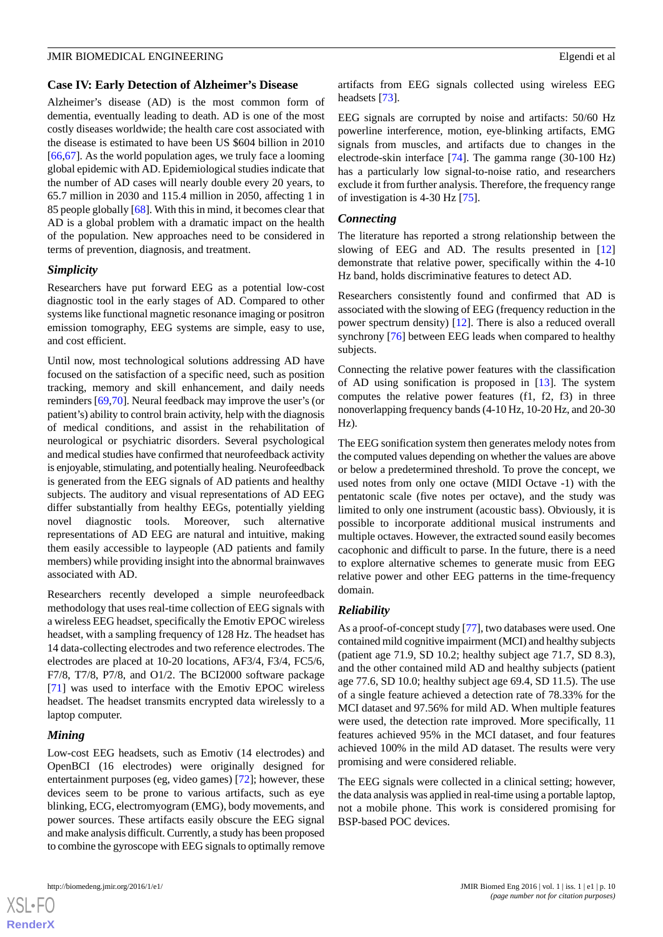### **Case IV: Early Detection of Alzheimer's Disease**

Alzheimer's disease (AD) is the most common form of dementia, eventually leading to death. AD is one of the most costly diseases worldwide; the health care cost associated with the disease is estimated to have been US \$604 billion in 2010 [[66](#page-13-4)[,67](#page-13-5)]. As the world population ages, we truly face a looming global epidemic with AD. Epidemiological studies indicate that the number of AD cases will nearly double every 20 years, to 65.7 million in 2030 and 115.4 million in 2050, affecting 1 in 85 people globally [[68\]](#page-13-6). With this in mind, it becomes clear that AD is a global problem with a dramatic impact on the health of the population. New approaches need to be considered in terms of prevention, diagnosis, and treatment.

## *Simplicity*

Researchers have put forward EEG as a potential low-cost diagnostic tool in the early stages of AD. Compared to other systems like functional magnetic resonance imaging or positron emission tomography, EEG systems are simple, easy to use, and cost efficient.

Until now, most technological solutions addressing AD have focused on the satisfaction of a specific need, such as position tracking, memory and skill enhancement, and daily needs reminders [[69](#page-13-7)[,70](#page-13-8)]. Neural feedback may improve the user's (or patient's) ability to control brain activity, help with the diagnosis of medical conditions, and assist in the rehabilitation of neurological or psychiatric disorders. Several psychological and medical studies have confirmed that neurofeedback activity is enjoyable, stimulating, and potentially healing. Neurofeedback is generated from the EEG signals of AD patients and healthy subjects. The auditory and visual representations of AD EEG differ substantially from healthy EEGs, potentially yielding novel diagnostic tools. Moreover, such alternative representations of AD EEG are natural and intuitive, making them easily accessible to laypeople (AD patients and family members) while providing insight into the abnormal brainwaves associated with AD.

Researchers recently developed a simple neurofeedback methodology that uses real-time collection of EEG signals with a wireless EEG headset, specifically the Emotiv EPOC wireless headset, with a sampling frequency of 128 Hz. The headset has 14 data-collecting electrodes and two reference electrodes. The electrodes are placed at 10-20 locations, AF3/4, F3/4, FC5/6, F7/8, T7/8, P7/8, and O1/2. The BCI2000 software package [[71\]](#page-13-9) was used to interface with the Emotiv EPOC wireless headset. The headset transmits encrypted data wirelessly to a laptop computer.

## *Mining*

Low-cost EEG headsets, such as Emotiv (14 electrodes) and OpenBCI (16 electrodes) were originally designed for entertainment purposes (eg, video games) [\[72](#page-13-10)]; however, these devices seem to be prone to various artifacts, such as eye blinking, ECG, electromyogram (EMG), body movements, and power sources. These artifacts easily obscure the EEG signal and make analysis difficult. Currently, a study has been proposed to combine the gyroscope with EEG signals to optimally remove

artifacts from EEG signals collected using wireless EEG headsets [\[73](#page-13-11)].

EEG signals are corrupted by noise and artifacts: 50/60 Hz powerline interference, motion, eye-blinking artifacts, EMG signals from muscles, and artifacts due to changes in the electrode-skin interface [[74\]](#page-13-12). The gamma range (30-100 Hz) has a particularly low signal-to-noise ratio, and researchers exclude it from further analysis. Therefore, the frequency range of investigation is 4-30 Hz [[75\]](#page-13-13).

#### *Connecting*

The literature has reported a strong relationship between the slowing of EEG and AD. The results presented in [\[12](#page-10-11)] demonstrate that relative power, specifically within the 4-10 Hz band, holds discriminative features to detect AD.

Researchers consistently found and confirmed that AD is associated with the slowing of EEG (frequency reduction in the power spectrum density) [[12\]](#page-10-11). There is also a reduced overall synchrony [[76\]](#page-13-14) between EEG leads when compared to healthy subjects.

Connecting the relative power features with the classification of AD using sonification is proposed in [[13\]](#page-11-0). The system computes the relative power features (f1, f2, f3) in three nonoverlapping frequency bands (4-10 Hz, 10-20 Hz, and 20-30 Hz).

The EEG sonification system then generates melody notes from the computed values depending on whether the values are above or below a predetermined threshold. To prove the concept, we used notes from only one octave (MIDI Octave -1) with the pentatonic scale (five notes per octave), and the study was limited to only one instrument (acoustic bass). Obviously, it is possible to incorporate additional musical instruments and multiple octaves. However, the extracted sound easily becomes cacophonic and difficult to parse. In the future, there is a need to explore alternative schemes to generate music from EEG relative power and other EEG patterns in the time-frequency domain.

## *Reliability*

As a proof-of-concept study [\[77](#page-13-15)], two databases were used. One contained mild cognitive impairment (MCI) and healthy subjects (patient age 71.9, SD 10.2; healthy subject age 71.7, SD 8.3), and the other contained mild AD and healthy subjects (patient age 77.6, SD 10.0; healthy subject age 69.4, SD 11.5). The use of a single feature achieved a detection rate of 78.33% for the MCI dataset and 97.56% for mild AD. When multiple features were used, the detection rate improved. More specifically, 11 features achieved 95% in the MCI dataset, and four features achieved 100% in the mild AD dataset. The results were very promising and were considered reliable.

The EEG signals were collected in a clinical setting; however, the data analysis was applied in real-time using a portable laptop, not a mobile phone. This work is considered promising for BSP-based POC devices.

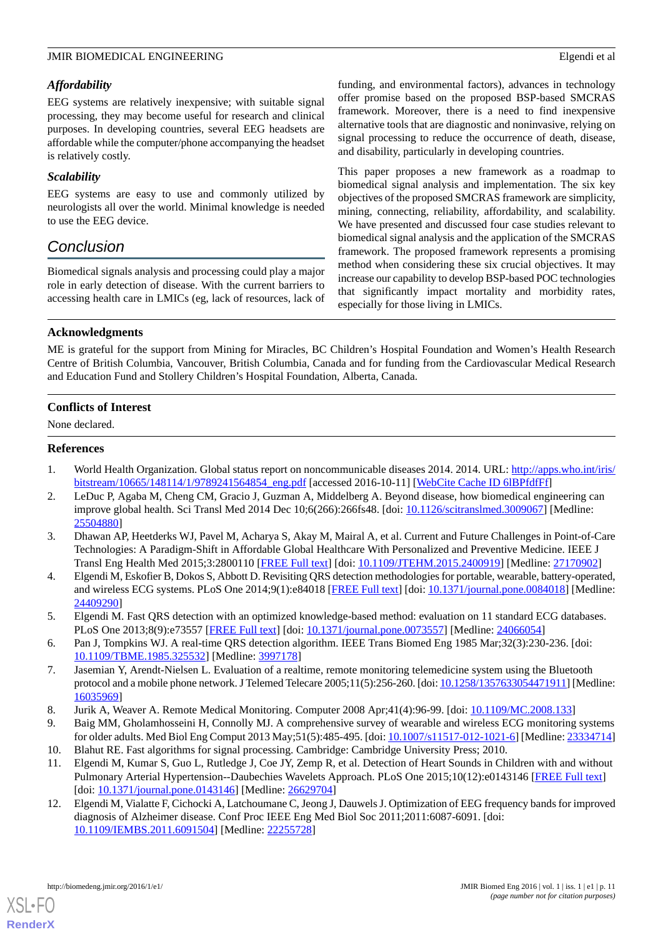## *Affordability*

EEG systems are relatively inexpensive; with suitable signal processing, they may become useful for research and clinical purposes. In developing countries, several EEG headsets are affordable while the computer/phone accompanying the headset is relatively costly.

## *Scalability*

EEG systems are easy to use and commonly utilized by neurologists all over the world. Minimal knowledge is needed to use the EEG device.

## *Conclusion*

Biomedical signals analysis and processing could play a major role in early detection of disease. With the current barriers to accessing health care in LMICs (eg, lack of resources, lack of funding, and environmental factors), advances in technology offer promise based on the proposed BSP-based SMCRAS framework. Moreover, there is a need to find inexpensive alternative tools that are diagnostic and noninvasive, relying on signal processing to reduce the occurrence of death, disease, and disability, particularly in developing countries.

This paper proposes a new framework as a roadmap to biomedical signal analysis and implementation. The six key objectives of the proposed SMCRAS framework are simplicity, mining, connecting, reliability, affordability, and scalability. We have presented and discussed four case studies relevant to biomedical signal analysis and the application of the SMCRAS framework. The proposed framework represents a promising method when considering these six crucial objectives. It may increase our capability to develop BSP-based POC technologies that significantly impact mortality and morbidity rates, especially for those living in LMICs.

## **Acknowledgments**

ME is grateful for the support from Mining for Miracles, BC Children's Hospital Foundation and Women's Health Research Centre of British Columbia, Vancouver, British Columbia, Canada and for funding from the Cardiovascular Medical Research and Education Fund and Stollery Children's Hospital Foundation, Alberta, Canada.

## **Conflicts of Interest**

<span id="page-10-0"></span>None declared.

## <span id="page-10-1"></span>**References**

- 1. World Health Organization. Global status report on noncommunicable diseases 2014. 2014. URL: [http://apps.who.int/iris/](http://apps.who.int/iris/bitstream/10665/148114/1/9789241564854_eng.pdf) [bitstream/10665/148114/1/9789241564854\\_eng.pdf](http://apps.who.int/iris/bitstream/10665/148114/1/9789241564854_eng.pdf) [accessed 2016-10-11] [\[WebCite Cache ID 6lBPfdfFf\]](http://www.webcitation.org/

                                6lBPfdfFf)
- <span id="page-10-2"></span>2. LeDuc P, Agaba M, Cheng CM, Gracio J, Guzman A, Middelberg A. Beyond disease, how biomedical engineering can improve global health. Sci Transl Med 2014 Dec 10;6(266):266fs48. [doi: [10.1126/scitranslmed.3009067](http://dx.doi.org/10.1126/scitranslmed.3009067)] [Medline: [25504880](http://www.ncbi.nlm.nih.gov/entrez/query.fcgi?cmd=Retrieve&db=PubMed&list_uids=25504880&dopt=Abstract)]
- <span id="page-10-4"></span><span id="page-10-3"></span>3. Dhawan AP, Heetderks WJ, Pavel M, Acharya S, Akay M, Mairal A, et al. Current and Future Challenges in Point-of-Care Technologies: A Paradigm-Shift in Affordable Global Healthcare With Personalized and Preventive Medicine. IEEE J Transl Eng Health Med 2015;3:2800110 [\[FREE Full text\]](http://europepmc.org/abstract/MED/27170902) [doi: [10.1109/JTEHM.2015.2400919](http://dx.doi.org/10.1109/JTEHM.2015.2400919)] [Medline: [27170902](http://www.ncbi.nlm.nih.gov/entrez/query.fcgi?cmd=Retrieve&db=PubMed&list_uids=27170902&dopt=Abstract)]
- <span id="page-10-5"></span>4. Elgendi M, Eskofier B, Dokos S, Abbott D. Revisiting QRS detection methodologies for portable, wearable, battery-operated, and wireless ECG systems. PLoS One 2014;9(1):e84018 [[FREE Full text\]](http://dx.plos.org/10.1371/journal.pone.0084018) [doi: [10.1371/journal.pone.0084018\]](http://dx.doi.org/10.1371/journal.pone.0084018) [Medline: [24409290](http://www.ncbi.nlm.nih.gov/entrez/query.fcgi?cmd=Retrieve&db=PubMed&list_uids=24409290&dopt=Abstract)]
- <span id="page-10-6"></span>5. Elgendi M. Fast QRS detection with an optimized knowledge-based method: evaluation on 11 standard ECG databases. PLoS One 2013;8(9):e73557 [[FREE Full text](http://dx.plos.org/10.1371/journal.pone.0073557)] [doi: [10.1371/journal.pone.0073557\]](http://dx.doi.org/10.1371/journal.pone.0073557) [Medline: [24066054](http://www.ncbi.nlm.nih.gov/entrez/query.fcgi?cmd=Retrieve&db=PubMed&list_uids=24066054&dopt=Abstract)]
- <span id="page-10-8"></span><span id="page-10-7"></span>6. Pan J, Tompkins WJ. A real-time QRS detection algorithm. IEEE Trans Biomed Eng 1985 Mar;32(3):230-236. [doi: [10.1109/TBME.1985.325532\]](http://dx.doi.org/10.1109/TBME.1985.325532) [Medline: [3997178](http://www.ncbi.nlm.nih.gov/entrez/query.fcgi?cmd=Retrieve&db=PubMed&list_uids=3997178&dopt=Abstract)]
- <span id="page-10-10"></span><span id="page-10-9"></span>7. Jasemian Y, Arendt-Nielsen L. Evaluation of a realtime, remote monitoring telemedicine system using the Bluetooth protocol and a mobile phone network. J Telemed Telecare 2005;11(5):256-260. [doi: [10.1258/1357633054471911\]](http://dx.doi.org/10.1258/1357633054471911) [Medline: [16035969](http://www.ncbi.nlm.nih.gov/entrez/query.fcgi?cmd=Retrieve&db=PubMed&list_uids=16035969&dopt=Abstract)]
- 8. Jurik A, Weaver A. Remote Medical Monitoring. Computer 2008 Apr;41(4):96-99. [doi: [10.1109/MC.2008.133\]](http://dx.doi.org/10.1109/MC.2008.133)
- <span id="page-10-11"></span>9. Baig MM, Gholamhosseini H, Connolly MJ. A comprehensive survey of wearable and wireless ECG monitoring systems for older adults. Med Biol Eng Comput 2013 May;51(5):485-495. [doi: [10.1007/s11517-012-1021-6\]](http://dx.doi.org/10.1007/s11517-012-1021-6) [Medline: [23334714](http://www.ncbi.nlm.nih.gov/entrez/query.fcgi?cmd=Retrieve&db=PubMed&list_uids=23334714&dopt=Abstract)]
- 10. Blahut RE. Fast algorithms for signal processing. Cambridge: Cambridge University Press; 2010.
- 11. Elgendi M, Kumar S, Guo L, Rutledge J, Coe JY, Zemp R, et al. Detection of Heart Sounds in Children with and without Pulmonary Arterial Hypertension--Daubechies Wavelets Approach. PLoS One 2015;10(12):e0143146 [[FREE Full text\]](http://dx.plos.org/10.1371/journal.pone.0143146) [doi: [10.1371/journal.pone.0143146\]](http://dx.doi.org/10.1371/journal.pone.0143146) [Medline: [26629704\]](http://www.ncbi.nlm.nih.gov/entrez/query.fcgi?cmd=Retrieve&db=PubMed&list_uids=26629704&dopt=Abstract)
- 12. Elgendi M, Vialatte F, Cichocki A, Latchoumane C, Jeong J, Dauwels J. Optimization of EEG frequency bands for improved diagnosis of Alzheimer disease. Conf Proc IEEE Eng Med Biol Soc 2011;2011:6087-6091. [doi: [10.1109/IEMBS.2011.6091504](http://dx.doi.org/10.1109/IEMBS.2011.6091504)] [Medline: [22255728](http://www.ncbi.nlm.nih.gov/entrez/query.fcgi?cmd=Retrieve&db=PubMed&list_uids=22255728&dopt=Abstract)]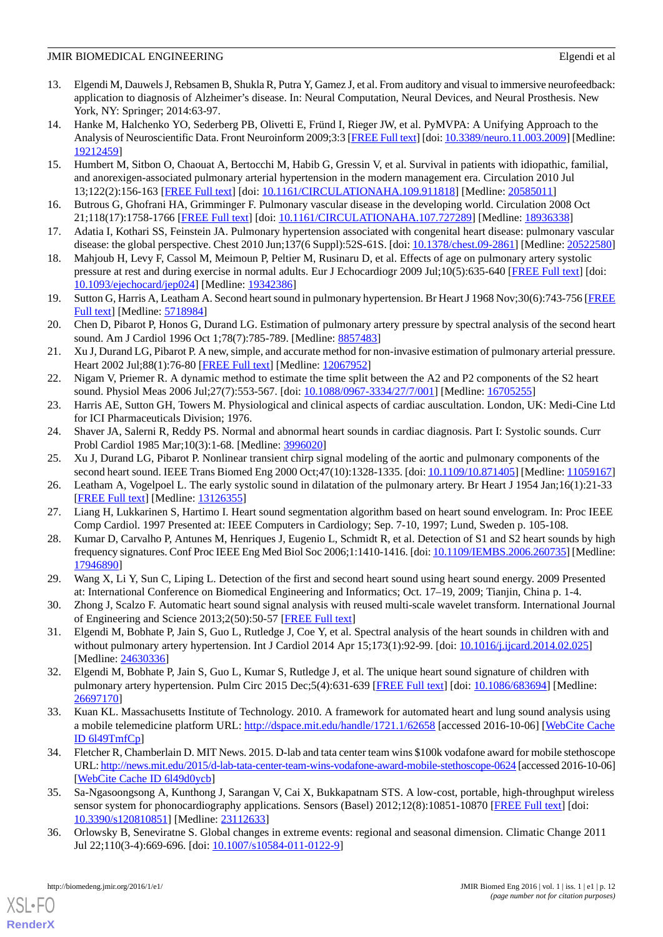- <span id="page-11-0"></span>13. Elgendi M, Dauwels J, Rebsamen B, Shukla R, Putra Y, Gamez J, et al. From auditory and visual to immersive neurofeedback: application to diagnosis of Alzheimer's disease. In: Neural Computation, Neural Devices, and Neural Prosthesis. New York, NY: Springer; 2014:63-97.
- <span id="page-11-1"></span>14. Hanke M, Halchenko YO, Sederberg PB, Olivetti E, Fründ I, Rieger JW, et al. PyMVPA: A Unifying Approach to the Analysis of Neuroscientific Data. Front Neuroinform 2009;3:3 [[FREE Full text\]](http://dx.doi.org/10.3389/neuro.11.003.2009) [doi: [10.3389/neuro.11.003.2009\]](http://dx.doi.org/10.3389/neuro.11.003.2009) [Medline: [19212459](http://www.ncbi.nlm.nih.gov/entrez/query.fcgi?cmd=Retrieve&db=PubMed&list_uids=19212459&dopt=Abstract)]
- <span id="page-11-2"></span>15. Humbert M, Sitbon O, Chaouat A, Bertocchi M, Habib G, Gressin V, et al. Survival in patients with idiopathic, familial, and anorexigen-associated pulmonary arterial hypertension in the modern management era. Circulation 2010 Jul 13;122(2):156-163 [[FREE Full text](http://circ.ahajournals.org/cgi/pmidlookup?view=long&pmid=20585011)] [doi: [10.1161/CIRCULATIONAHA.109.911818\]](http://dx.doi.org/10.1161/CIRCULATIONAHA.109.911818) [Medline: [20585011\]](http://www.ncbi.nlm.nih.gov/entrez/query.fcgi?cmd=Retrieve&db=PubMed&list_uids=20585011&dopt=Abstract)
- <span id="page-11-4"></span><span id="page-11-3"></span>16. Butrous G, Ghofrani HA, Grimminger F. Pulmonary vascular disease in the developing world. Circulation 2008 Oct 21;118(17):1758-1766 [[FREE Full text](http://circ.ahajournals.org/cgi/pmidlookup?view=long&pmid=18936338)] [doi: [10.1161/CIRCULATIONAHA.107.727289\]](http://dx.doi.org/10.1161/CIRCULATIONAHA.107.727289) [Medline: [18936338\]](http://www.ncbi.nlm.nih.gov/entrez/query.fcgi?cmd=Retrieve&db=PubMed&list_uids=18936338&dopt=Abstract)
- <span id="page-11-5"></span>17. Adatia I, Kothari SS, Feinstein JA. Pulmonary hypertension associated with congenital heart disease: pulmonary vascular disease: the global perspective. Chest 2010 Jun;137(6 Suppl):52S-61S. [doi: [10.1378/chest.09-2861](http://dx.doi.org/10.1378/chest.09-2861)] [Medline: [20522580](http://www.ncbi.nlm.nih.gov/entrez/query.fcgi?cmd=Retrieve&db=PubMed&list_uids=20522580&dopt=Abstract)]
- <span id="page-11-6"></span>18. Mahjoub H, Levy F, Cassol M, Meimoun P, Peltier M, Rusinaru D, et al. Effects of age on pulmonary artery systolic pressure at rest and during exercise in normal adults. Eur J Echocardiogr 2009 Jul;10(5):635-640 [[FREE Full text](http://ehjcimaging.oxfordjournals.org/cgi/pmidlookup?view=long&pmid=19342386)] [doi: [10.1093/ejechocard/jep024](http://dx.doi.org/10.1093/ejechocard/jep024)] [Medline: [19342386\]](http://www.ncbi.nlm.nih.gov/entrez/query.fcgi?cmd=Retrieve&db=PubMed&list_uids=19342386&dopt=Abstract)
- 19. Sutton G, Harris A, Leatham A. Second heart sound in pulmonary hypertension. Br Heart J 1968 Nov;30(6):743-756 [\[FREE](http://heart.bmj.com/cgi/pmidlookup?view=long&pmid=5718984) [Full text\]](http://heart.bmj.com/cgi/pmidlookup?view=long&pmid=5718984) [Medline: [5718984\]](http://www.ncbi.nlm.nih.gov/entrez/query.fcgi?cmd=Retrieve&db=PubMed&list_uids=5718984&dopt=Abstract)
- 20. Chen D, Pibarot P, Honos G, Durand LG. Estimation of pulmonary artery pressure by spectral analysis of the second heart sound. Am J Cardiol 1996 Oct 1;78(7):785-789. [Medline: [8857483\]](http://www.ncbi.nlm.nih.gov/entrez/query.fcgi?cmd=Retrieve&db=PubMed&list_uids=8857483&dopt=Abstract)
- <span id="page-11-7"></span>21. Xu J, Durand LG, Pibarot P. A new, simple, and accurate method for non-invasive estimation of pulmonary arterial pressure. Heart 2002 Jul;88(1):76-80 [[FREE Full text](http://heart.bmj.com/cgi/pmidlookup?view=long&pmid=12067952)] [Medline: [12067952\]](http://www.ncbi.nlm.nih.gov/entrez/query.fcgi?cmd=Retrieve&db=PubMed&list_uids=12067952&dopt=Abstract)
- <span id="page-11-9"></span><span id="page-11-8"></span>22. Nigam V, Priemer R. A dynamic method to estimate the time split between the A2 and P2 components of the S2 heart sound. Physiol Meas 2006 Jul;27(7):553-567. [doi: [10.1088/0967-3334/27/7/001](http://dx.doi.org/10.1088/0967-3334/27/7/001)] [Medline: [16705255\]](http://www.ncbi.nlm.nih.gov/entrez/query.fcgi?cmd=Retrieve&db=PubMed&list_uids=16705255&dopt=Abstract)
- <span id="page-11-10"></span>23. Harris AE, Sutton GH, Towers M. Physiological and clinical aspects of cardiac auscultation. London, UK: Medi-Cine Ltd for ICI Pharmaceuticals Division; 1976.
- <span id="page-11-11"></span>24. Shaver JA, Salerni R, Reddy PS. Normal and abnormal heart sounds in cardiac diagnosis. Part I: Systolic sounds. Curr Probl Cardiol 1985 Mar;10(3):1-68. [Medline: [3996020\]](http://www.ncbi.nlm.nih.gov/entrez/query.fcgi?cmd=Retrieve&db=PubMed&list_uids=3996020&dopt=Abstract)
- <span id="page-11-12"></span>25. Xu J, Durand LG, Pibarot P. Nonlinear transient chirp signal modeling of the aortic and pulmonary components of the second heart sound. IEEE Trans Biomed Eng 2000 Oct; 47(10): 1328-1335. [doi: [10.1109/10.871405](http://dx.doi.org/10.1109/10.871405)] [Medline: [11059167](http://www.ncbi.nlm.nih.gov/entrez/query.fcgi?cmd=Retrieve&db=PubMed&list_uids=11059167&dopt=Abstract)]
- <span id="page-11-13"></span>26. Leatham A, Vogelpoel L. The early systolic sound in dilatation of the pulmonary artery. Br Heart J 1954 Jan;16(1):21-33 [[FREE Full text](http://heart.bmj.com/cgi/pmidlookup?view=long&pmid=13126355)] [Medline: [13126355](http://www.ncbi.nlm.nih.gov/entrez/query.fcgi?cmd=Retrieve&db=PubMed&list_uids=13126355&dopt=Abstract)]
- <span id="page-11-14"></span>27. Liang H, Lukkarinen S, Hartimo I. Heart sound segmentation algorithm based on heart sound envelogram. In: Proc IEEE Comp Cardiol. 1997 Presented at: IEEE Computers in Cardiology; Sep. 7-10, 1997; Lund, Sweden p. 105-108.
- <span id="page-11-15"></span>28. Kumar D, Carvalho P, Antunes M, Henriques J, Eugenio L, Schmidt R, et al. Detection of S1 and S2 heart sounds by high frequency signatures. Conf Proc IEEE Eng Med Biol Soc 2006;1:1410-1416. [doi: [10.1109/IEMBS.2006.260735\]](http://dx.doi.org/10.1109/IEMBS.2006.260735) [Medline: [17946890](http://www.ncbi.nlm.nih.gov/entrez/query.fcgi?cmd=Retrieve&db=PubMed&list_uids=17946890&dopt=Abstract)]
- <span id="page-11-16"></span>29. Wang X, Li Y, Sun C, Liping L. Detection of the first and second heart sound using heart sound energy. 2009 Presented at: International Conference on Biomedical Engineering and Informatics; Oct. 17–19, 2009; Tianjin, China p. 1-4.
- <span id="page-11-17"></span>30. Zhong J, Scalzo F. Automatic heart sound signal analysis with reused multi-scale wavelet transform. International Journal of Engineering and Science 2013;2(50):50-57 [[FREE Full text](http://www.researchinventy.com/papers/v2i7/I027050057.pdf)]
- <span id="page-11-18"></span>31. Elgendi M, Bobhate P, Jain S, Guo L, Rutledge J, Coe Y, et al. Spectral analysis of the heart sounds in children with and without pulmonary artery hypertension. Int J Cardiol 2014 Apr 15;173(1):92-99. [doi: [10.1016/j.ijcard.2014.02.025\]](http://dx.doi.org/10.1016/j.ijcard.2014.02.025) [Medline: [24630336](http://www.ncbi.nlm.nih.gov/entrez/query.fcgi?cmd=Retrieve&db=PubMed&list_uids=24630336&dopt=Abstract)]
- <span id="page-11-19"></span>32. Elgendi M, Bobhate P, Jain S, Guo L, Kumar S, Rutledge J, et al. The unique heart sound signature of children with pulmonary artery hypertension. Pulm Circ 2015 Dec;5(4):631-639 [\[FREE Full text](http://dx.doi.org/10.1086/683694)] [doi: [10.1086/683694](http://dx.doi.org/10.1086/683694)] [Medline: [26697170](http://www.ncbi.nlm.nih.gov/entrez/query.fcgi?cmd=Retrieve&db=PubMed&list_uids=26697170&dopt=Abstract)]
- <span id="page-11-20"></span>33. Kuan KL. Massachusetts Institute of Technology. 2010. A framework for automated heart and lung sound analysis using a mobile telemedicine platform URL: <http://dspace.mit.edu/handle/1721.1/62658> [accessed 2016-10-06] [\[WebCite Cache](http://www.webcitation.org/

                                6l49TmfCp) [ID 6l49TmfCp](http://www.webcitation.org/

                                6l49TmfCp)]
- <span id="page-11-21"></span>34. Fletcher R, Chamberlain D. MIT News. 2015. D-lab and tata center team wins \$100k vodafone award for mobile stethoscope URL:<http://news.mit.edu/2015/d-lab-tata-center-team-wins-vodafone-award-mobile-stethoscope-0624> [accessed 2016-10-06] [[WebCite Cache ID 6l49d0ycb\]](http://www.webcitation.org/

                                6l49d0ycb)
- 35. Sa-Ngasoongsong A, Kunthong J, Sarangan V, Cai X, Bukkapatnam STS. A low-cost, portable, high-throughput wireless sensor system for phonocardiography applications. Sensors (Basel) 2012;12(8):10851-10870 [[FREE Full text](http://www.mdpi.com/resolver?pii=sensors-12-10851)] [doi: [10.3390/s120810851\]](http://dx.doi.org/10.3390/s120810851) [Medline: [23112633](http://www.ncbi.nlm.nih.gov/entrez/query.fcgi?cmd=Retrieve&db=PubMed&list_uids=23112633&dopt=Abstract)]
- 36. Orlowsky B, Seneviratne S. Global changes in extreme events: regional and seasonal dimension. Climatic Change 2011 Jul 22;110(3-4):669-696. [doi: [10.1007/s10584-011-0122-9](http://dx.doi.org/10.1007/s10584-011-0122-9)]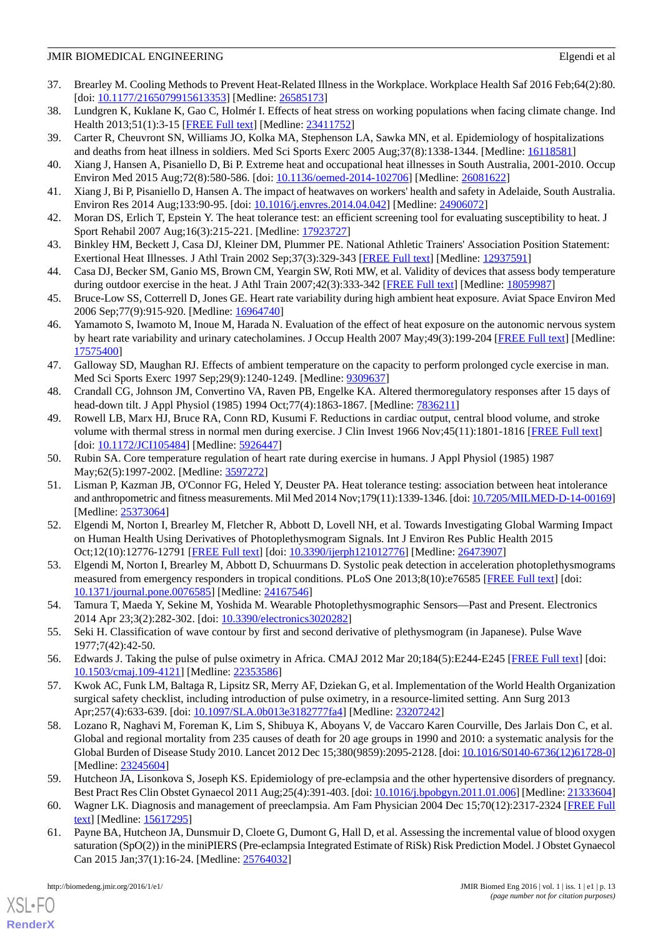- <span id="page-12-0"></span>37. Brearley M. Cooling Methods to Prevent Heat-Related Illness in the Workplace. Workplace Health Saf 2016 Feb;64(2):80. [doi: [10.1177/2165079915613353](http://dx.doi.org/10.1177/2165079915613353)] [Medline: [26585173\]](http://www.ncbi.nlm.nih.gov/entrez/query.fcgi?cmd=Retrieve&db=PubMed&list_uids=26585173&dopt=Abstract)
- <span id="page-12-2"></span><span id="page-12-1"></span>38. Lundgren K, Kuklane K, Gao C, Holmér I. Effects of heat stress on working populations when facing climate change. Ind Health 2013;51(1):3-15 [\[FREE Full text\]](http://joi.jlc.jst.go.jp/DN/JST.JSTAGE/indhealth/2012-0089?from=PubMed) [Medline: [23411752](http://www.ncbi.nlm.nih.gov/entrez/query.fcgi?cmd=Retrieve&db=PubMed&list_uids=23411752&dopt=Abstract)]
- <span id="page-12-3"></span>39. Carter R, Cheuvront SN, Williams JO, Kolka MA, Stephenson LA, Sawka MN, et al. Epidemiology of hospitalizations and deaths from heat illness in soldiers. Med Sci Sports Exerc 2005 Aug;37(8):1338-1344. [Medline: [16118581](http://www.ncbi.nlm.nih.gov/entrez/query.fcgi?cmd=Retrieve&db=PubMed&list_uids=16118581&dopt=Abstract)]
- <span id="page-12-4"></span>40. Xiang J, Hansen A, Pisaniello D, Bi P. Extreme heat and occupational heat illnesses in South Australia, 2001-2010. Occup Environ Med 2015 Aug;72(8):580-586. [doi: [10.1136/oemed-2014-102706\]](http://dx.doi.org/10.1136/oemed-2014-102706) [Medline: [26081622\]](http://www.ncbi.nlm.nih.gov/entrez/query.fcgi?cmd=Retrieve&db=PubMed&list_uids=26081622&dopt=Abstract)
- <span id="page-12-5"></span>41. Xiang J, Bi P, Pisaniello D, Hansen A. The impact of heatwaves on workers' health and safety in Adelaide, South Australia. Environ Res 2014 Aug;133:90-95. [doi: [10.1016/j.envres.2014.04.042](http://dx.doi.org/10.1016/j.envres.2014.04.042)] [Medline: [24906072\]](http://www.ncbi.nlm.nih.gov/entrez/query.fcgi?cmd=Retrieve&db=PubMed&list_uids=24906072&dopt=Abstract)
- <span id="page-12-6"></span>42. Moran DS, Erlich T, Epstein Y. The heat tolerance test: an efficient screening tool for evaluating susceptibility to heat. J Sport Rehabil 2007 Aug;16(3):215-221. [Medline: [17923727\]](http://www.ncbi.nlm.nih.gov/entrez/query.fcgi?cmd=Retrieve&db=PubMed&list_uids=17923727&dopt=Abstract)
- <span id="page-12-7"></span>43. Binkley HM, Beckett J, Casa DJ, Kleiner DM, Plummer PE. National Athletic Trainers' Association Position Statement: Exertional Heat Illnesses. J Athl Train 2002 Sep;37(3):329-343 [[FREE Full text](http://europepmc.org/abstract/MED/12937591)] [Medline: [12937591\]](http://www.ncbi.nlm.nih.gov/entrez/query.fcgi?cmd=Retrieve&db=PubMed&list_uids=12937591&dopt=Abstract)
- <span id="page-12-8"></span>44. Casa DJ, Becker SM, Ganio MS, Brown CM, Yeargin SW, Roti MW, et al. Validity of devices that assess body temperature during outdoor exercise in the heat. J Athl Train 2007;42(3):333-342 [\[FREE Full text\]](http://europepmc.org/abstract/MED/18059987) [Medline: [18059987](http://www.ncbi.nlm.nih.gov/entrez/query.fcgi?cmd=Retrieve&db=PubMed&list_uids=18059987&dopt=Abstract)]
- <span id="page-12-9"></span>45. Bruce-Low SS, Cotterrell D, Jones GE. Heart rate variability during high ambient heat exposure. Aviat Space Environ Med 2006 Sep;77(9):915-920. [Medline: [16964740\]](http://www.ncbi.nlm.nih.gov/entrez/query.fcgi?cmd=Retrieve&db=PubMed&list_uids=16964740&dopt=Abstract)
- <span id="page-12-10"></span>46. Yamamoto S, Iwamoto M, Inoue M, Harada N. Evaluation of the effect of heat exposure on the autonomic nervous system by heart rate variability and urinary catecholamines. J Occup Health 2007 May;49(3):199-204 [\[FREE Full text\]](http://joi.jlc.jst.go.jp/JST.JSTAGE/joh/49.199?from=PubMed) [Medline: [17575400](http://www.ncbi.nlm.nih.gov/entrez/query.fcgi?cmd=Retrieve&db=PubMed&list_uids=17575400&dopt=Abstract)]
- <span id="page-12-12"></span><span id="page-12-11"></span>47. Galloway SD, Maughan RJ. Effects of ambient temperature on the capacity to perform prolonged cycle exercise in man. Med Sci Sports Exerc 1997 Sep;29(9):1240-1249. [Medline: [9309637](http://www.ncbi.nlm.nih.gov/entrez/query.fcgi?cmd=Retrieve&db=PubMed&list_uids=9309637&dopt=Abstract)]
- 48. Crandall CG, Johnson JM, Convertino VA, Raven PB, Engelke KA. Altered thermoregulatory responses after 15 days of head-down tilt. J Appl Physiol (1985) 1994 Oct;77(4):1863-1867. [Medline: [7836211](http://www.ncbi.nlm.nih.gov/entrez/query.fcgi?cmd=Retrieve&db=PubMed&list_uids=7836211&dopt=Abstract)]
- <span id="page-12-14"></span><span id="page-12-13"></span>49. Rowell LB, Marx HJ, Bruce RA, Conn RD, Kusumi F. Reductions in cardiac output, central blood volume, and stroke volume with thermal stress in normal men during exercise. J Clin Invest 1966 Nov;45(11):1801-1816 [\[FREE Full text\]](http://europepmc.org/abstract/MED/5926447) [doi: [10.1172/JCI105484](http://dx.doi.org/10.1172/JCI105484)] [Medline: [5926447\]](http://www.ncbi.nlm.nih.gov/entrez/query.fcgi?cmd=Retrieve&db=PubMed&list_uids=5926447&dopt=Abstract)
- 50. Rubin SA. Core temperature regulation of heart rate during exercise in humans. J Appl Physiol (1985) 1987 May;62(5):1997-2002. [Medline: [3597272](http://www.ncbi.nlm.nih.gov/entrez/query.fcgi?cmd=Retrieve&db=PubMed&list_uids=3597272&dopt=Abstract)]
- <span id="page-12-15"></span>51. Lisman P, Kazman JB, O'Connor FG, Heled Y, Deuster PA. Heat tolerance testing: association between heat intolerance and anthropometric and fitness measurements. Mil Med 2014 Nov;179(11):1339-1346. [doi: [10.7205/MILMED-D-14-00169](http://dx.doi.org/10.7205/MILMED-D-14-00169)] [Medline: [25373064](http://www.ncbi.nlm.nih.gov/entrez/query.fcgi?cmd=Retrieve&db=PubMed&list_uids=25373064&dopt=Abstract)]
- <span id="page-12-16"></span>52. Elgendi M, Norton I, Brearley M, Fletcher R, Abbott D, Lovell NH, et al. Towards Investigating Global Warming Impact on Human Health Using Derivatives of Photoplethysmogram Signals. Int J Environ Res Public Health 2015 Oct;12(10):12776-12791 [\[FREE Full text\]](http://www.mdpi.com/resolver?pii=ijerph121012776) [doi: [10.3390/ijerph121012776\]](http://dx.doi.org/10.3390/ijerph121012776) [Medline: [26473907](http://www.ncbi.nlm.nih.gov/entrez/query.fcgi?cmd=Retrieve&db=PubMed&list_uids=26473907&dopt=Abstract)]
- <span id="page-12-18"></span><span id="page-12-17"></span>53. Elgendi M, Norton I, Brearley M, Abbott D, Schuurmans D. Systolic peak detection in acceleration photoplethysmograms measured from emergency responders in tropical conditions. PLoS One 2013;8(10):e76585 [[FREE Full text\]](http://dx.plos.org/10.1371/journal.pone.0076585) [doi: [10.1371/journal.pone.0076585\]](http://dx.doi.org/10.1371/journal.pone.0076585) [Medline: [24167546](http://www.ncbi.nlm.nih.gov/entrez/query.fcgi?cmd=Retrieve&db=PubMed&list_uids=24167546&dopt=Abstract)]
- <span id="page-12-20"></span><span id="page-12-19"></span>54. Tamura T, Maeda Y, Sekine M, Yoshida M. Wearable Photoplethysmographic Sensors—Past and Present. Electronics 2014 Apr 23;3(2):282-302. [doi: [10.3390/electronics3020282\]](http://dx.doi.org/10.3390/electronics3020282)
- 55. Seki H. Classification of wave contour by first and second derivative of plethysmogram (in Japanese). Pulse Wave 1977;7(42):42-50.
- <span id="page-12-21"></span>56. Edwards J. Taking the pulse of pulse oximetry in Africa. CMAJ 2012 Mar 20;184(5):E244-E245 [[FREE Full text\]](http://www.cmaj.ca/cgi/pmidlookup?view=long&pmid=22353586) [doi: [10.1503/cmaj.109-4121](http://dx.doi.org/10.1503/cmaj.109-4121)] [Medline: [22353586\]](http://www.ncbi.nlm.nih.gov/entrez/query.fcgi?cmd=Retrieve&db=PubMed&list_uids=22353586&dopt=Abstract)
- <span id="page-12-22"></span>57. Kwok AC, Funk LM, Baltaga R, Lipsitz SR, Merry AF, Dziekan G, et al. Implementation of the World Health Organization surgical safety checklist, including introduction of pulse oximetry, in a resource-limited setting. Ann Surg 2013 Apr;257(4):633-639. [doi: [10.1097/SLA.0b013e3182777fa4\]](http://dx.doi.org/10.1097/SLA.0b013e3182777fa4) [Medline: [23207242\]](http://www.ncbi.nlm.nih.gov/entrez/query.fcgi?cmd=Retrieve&db=PubMed&list_uids=23207242&dopt=Abstract)
- <span id="page-12-24"></span><span id="page-12-23"></span>58. Lozano R, Naghavi M, Foreman K, Lim S, Shibuya K, Aboyans V, de Vaccaro Karen Courville, Des Jarlais Don C, et al. Global and regional mortality from 235 causes of death for 20 age groups in 1990 and 2010: a systematic analysis for the Global Burden of Disease Study 2010. Lancet 2012 Dec 15;380(9859):2095-2128. [doi: [10.1016/S0140-6736\(12\)61728-0](http://dx.doi.org/10.1016/S0140-6736(12)61728-0)] [Medline: [23245604](http://www.ncbi.nlm.nih.gov/entrez/query.fcgi?cmd=Retrieve&db=PubMed&list_uids=23245604&dopt=Abstract)]
- 59. Hutcheon JA, Lisonkova S, Joseph KS. Epidemiology of pre-eclampsia and the other hypertensive disorders of pregnancy. Best Pract Res Clin Obstet Gynaecol 2011 Aug;25(4):391-403. [doi: [10.1016/j.bpobgyn.2011.01.006](http://dx.doi.org/10.1016/j.bpobgyn.2011.01.006)] [Medline: [21333604\]](http://www.ncbi.nlm.nih.gov/entrez/query.fcgi?cmd=Retrieve&db=PubMed&list_uids=21333604&dopt=Abstract)
- 60. Wagner LK. Diagnosis and management of preeclampsia. Am Fam Physician 2004 Dec 15;70(12):2317-2324 [[FREE Full](http://www.aafp.org/link_out?pmid=15617295) [text](http://www.aafp.org/link_out?pmid=15617295)] [Medline: [15617295](http://www.ncbi.nlm.nih.gov/entrez/query.fcgi?cmd=Retrieve&db=PubMed&list_uids=15617295&dopt=Abstract)]
- 61. Payne BA, Hutcheon JA, Dunsmuir D, Cloete G, Dumont G, Hall D, et al. Assessing the incremental value of blood oxygen saturation (SpO(2)) in the miniPIERS (Pre-eclampsia Integrated Estimate of RiSk) Risk Prediction Model. J Obstet Gynaecol Can 2015 Jan;37(1):16-24. [Medline: [25764032](http://www.ncbi.nlm.nih.gov/entrez/query.fcgi?cmd=Retrieve&db=PubMed&list_uids=25764032&dopt=Abstract)]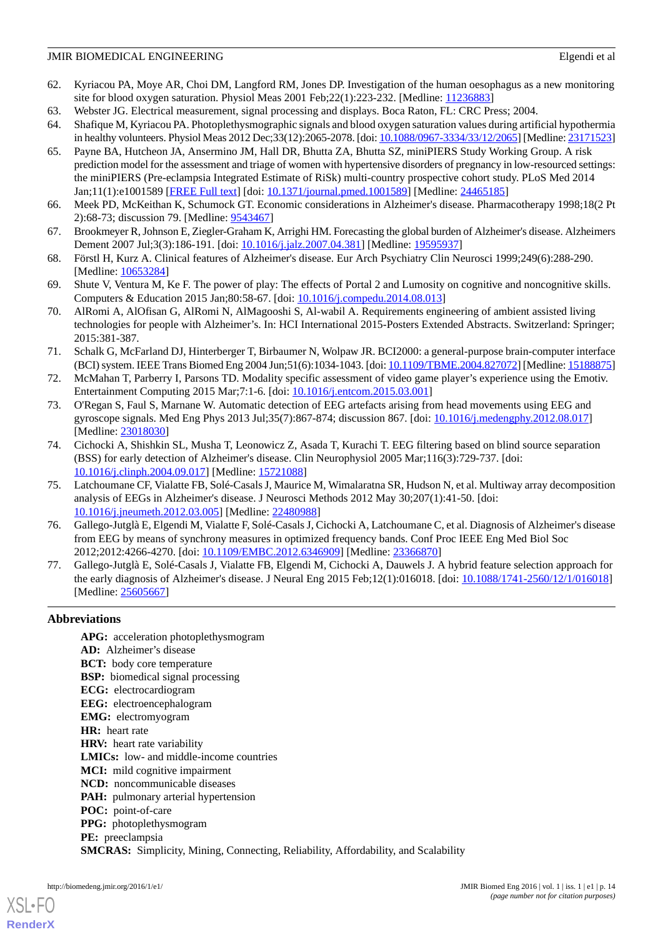- <span id="page-13-0"></span>62. Kyriacou PA, Moye AR, Choi DM, Langford RM, Jones DP. Investigation of the human oesophagus as a new monitoring site for blood oxygen saturation. Physiol Meas 2001 Feb;22(1):223-232. [Medline: [11236883](http://www.ncbi.nlm.nih.gov/entrez/query.fcgi?cmd=Retrieve&db=PubMed&list_uids=11236883&dopt=Abstract)]
- <span id="page-13-2"></span><span id="page-13-1"></span>63. Webster JG. Electrical measurement, signal processing and displays. Boca Raton, FL: CRC Press; 2004.
- <span id="page-13-3"></span>64. Shafique M, Kyriacou PA. Photoplethysmographic signals and blood oxygen saturation values during artificial hypothermia in healthy volunteers. Physiol Meas 2012 Dec;33(12):2065-2078. [doi: [10.1088/0967-3334/33/12/2065\]](http://dx.doi.org/10.1088/0967-3334/33/12/2065) [Medline: [23171523](http://www.ncbi.nlm.nih.gov/entrez/query.fcgi?cmd=Retrieve&db=PubMed&list_uids=23171523&dopt=Abstract)]
- 65. Payne BA, Hutcheon JA, Ansermino JM, Hall DR, Bhutta ZA, Bhutta SZ, miniPIERS Study Working Group. A risk prediction model for the assessment and triage of women with hypertensive disorders of pregnancy in low-resourced settings: the miniPIERS (Pre-eclampsia Integrated Estimate of RiSk) multi-country prospective cohort study. PLoS Med 2014 Jan;11(1):e1001589 [\[FREE Full text\]](http://dx.plos.org/10.1371/journal.pmed.1001589) [doi: [10.1371/journal.pmed.1001589\]](http://dx.doi.org/10.1371/journal.pmed.1001589) [Medline: [24465185\]](http://www.ncbi.nlm.nih.gov/entrez/query.fcgi?cmd=Retrieve&db=PubMed&list_uids=24465185&dopt=Abstract)
- <span id="page-13-5"></span><span id="page-13-4"></span>66. Meek PD, McKeithan K, Schumock GT. Economic considerations in Alzheimer's disease. Pharmacotherapy 1998;18(2 Pt 2):68-73; discussion 79. [Medline: [9543467](http://www.ncbi.nlm.nih.gov/entrez/query.fcgi?cmd=Retrieve&db=PubMed&list_uids=9543467&dopt=Abstract)]
- <span id="page-13-6"></span>67. Brookmeyer R, Johnson E, Ziegler-Graham K, Arrighi HM. Forecasting the global burden of Alzheimer's disease. Alzheimers Dement 2007 Jul;3(3):186-191. [doi: [10.1016/j.jalz.2007.04.381](http://dx.doi.org/10.1016/j.jalz.2007.04.381)] [Medline: [19595937](http://www.ncbi.nlm.nih.gov/entrez/query.fcgi?cmd=Retrieve&db=PubMed&list_uids=19595937&dopt=Abstract)]
- <span id="page-13-7"></span>68. Förstl H, Kurz A. Clinical features of Alzheimer's disease. Eur Arch Psychiatry Clin Neurosci 1999;249(6):288-290. [Medline: [10653284](http://www.ncbi.nlm.nih.gov/entrez/query.fcgi?cmd=Retrieve&db=PubMed&list_uids=10653284&dopt=Abstract)]
- <span id="page-13-8"></span>69. Shute V, Ventura M, Ke F. The power of play: The effects of Portal 2 and Lumosity on cognitive and noncognitive skills. Computers & Education 2015 Jan;80:58-67. [doi: [10.1016/j.compedu.2014.08.013](http://dx.doi.org/10.1016/j.compedu.2014.08.013)]
- <span id="page-13-9"></span>70. AlRomi A, AlOfisan G, AlRomi N, AlMagooshi S, Al-wabil A. Requirements engineering of ambient assisted living technologies for people with Alzheimer's. In: HCI International 2015-Posters Extended Abstracts. Switzerland: Springer; 2015:381-387.
- <span id="page-13-10"></span>71. Schalk G, McFarland DJ, Hinterberger T, Birbaumer N, Wolpaw JR. BCI2000: a general-purpose brain-computer interface (BCI) system. IEEE Trans Biomed Eng 2004 Jun;51(6):1034-1043. [doi: [10.1109/TBME.2004.827072\]](http://dx.doi.org/10.1109/TBME.2004.827072) [Medline: [15188875](http://www.ncbi.nlm.nih.gov/entrez/query.fcgi?cmd=Retrieve&db=PubMed&list_uids=15188875&dopt=Abstract)]
- <span id="page-13-11"></span>72. McMahan T, Parberry I, Parsons TD. Modality specific assessment of video game player's experience using the Emotiv. Entertainment Computing 2015 Mar;7:1-6. [doi: [10.1016/j.entcom.2015.03.001](http://dx.doi.org/10.1016/j.entcom.2015.03.001)]
- <span id="page-13-12"></span>73. O'Regan S, Faul S, Marnane W. Automatic detection of EEG artefacts arising from head movements using EEG and gyroscope signals. Med Eng Phys 2013 Jul;35(7):867-874; discussion 867. [doi: [10.1016/j.medengphy.2012.08.017\]](http://dx.doi.org/10.1016/j.medengphy.2012.08.017) [Medline: [23018030](http://www.ncbi.nlm.nih.gov/entrez/query.fcgi?cmd=Retrieve&db=PubMed&list_uids=23018030&dopt=Abstract)]
- <span id="page-13-13"></span>74. Cichocki A, Shishkin SL, Musha T, Leonowicz Z, Asada T, Kurachi T. EEG filtering based on blind source separation (BSS) for early detection of Alzheimer's disease. Clin Neurophysiol 2005 Mar;116(3):729-737. [doi: [10.1016/j.clinph.2004.09.017\]](http://dx.doi.org/10.1016/j.clinph.2004.09.017) [Medline: [15721088](http://www.ncbi.nlm.nih.gov/entrez/query.fcgi?cmd=Retrieve&db=PubMed&list_uids=15721088&dopt=Abstract)]
- <span id="page-13-14"></span>75. Latchoumane CF, Vialatte FB, Solé-Casals J, Maurice M, Wimalaratna SR, Hudson N, et al. Multiway array decomposition analysis of EEGs in Alzheimer's disease. J Neurosci Methods 2012 May 30;207(1):41-50. [doi: [10.1016/j.jneumeth.2012.03.005\]](http://dx.doi.org/10.1016/j.jneumeth.2012.03.005) [Medline: [22480988\]](http://www.ncbi.nlm.nih.gov/entrez/query.fcgi?cmd=Retrieve&db=PubMed&list_uids=22480988&dopt=Abstract)
- <span id="page-13-15"></span>76. Gallego-Jutglà E, Elgendi M, Vialatte F, Solé-Casals J, Cichocki A, Latchoumane C, et al. Diagnosis of Alzheimer's disease from EEG by means of synchrony measures in optimized frequency bands. Conf Proc IEEE Eng Med Biol Soc 2012;2012:4266-4270. [doi: [10.1109/EMBC.2012.6346909](http://dx.doi.org/10.1109/EMBC.2012.6346909)] [Medline: [23366870](http://www.ncbi.nlm.nih.gov/entrez/query.fcgi?cmd=Retrieve&db=PubMed&list_uids=23366870&dopt=Abstract)]
- 77. Gallego-Jutglà E, Solé-Casals J, Vialatte FB, Elgendi M, Cichocki A, Dauwels J. A hybrid feature selection approach for the early diagnosis of Alzheimer's disease. J Neural Eng 2015 Feb;12(1):016018. [doi: [10.1088/1741-2560/12/1/016018\]](http://dx.doi.org/10.1088/1741-2560/12/1/016018) [Medline: [25605667](http://www.ncbi.nlm.nih.gov/entrez/query.fcgi?cmd=Retrieve&db=PubMed&list_uids=25605667&dopt=Abstract)]

## **Abbreviations**

**APG:** acceleration photoplethysmogram **AD:** Alzheimer's disease **BCT:** body core temperature **BSP:** biomedical signal processing **ECG:** electrocardiogram **EEG:** electroencephalogram **EMG:** electromyogram **HR:** heart rate **HRV:** heart rate variability **LMICs:** low- and middle-income countries **MCI:** mild cognitive impairment **NCD:** noncommunicable diseases **PAH:** pulmonary arterial hypertension **POC:** point-of-care **PPG:** photoplethysmogram **PE:** preeclampsia **SMCRAS:** Simplicity, Mining, Connecting, Reliability, Affordability, and Scalability